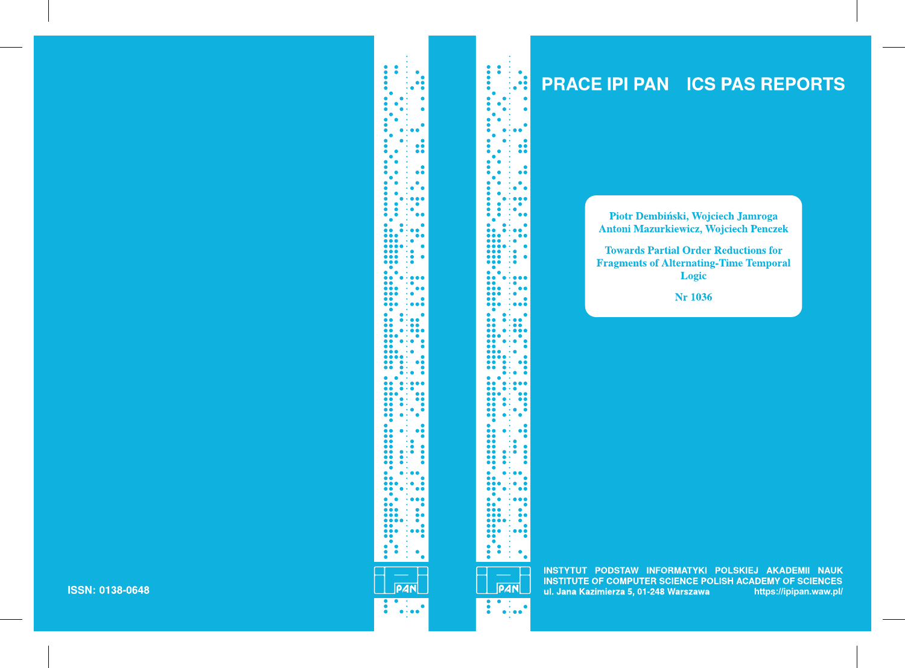## **PRACE IPI PAN ICS PAS REPORTS**

Piotr Dembiński, Wojciech Jamroga **Antoni Mazurkiewicz, Wojciech Penczek** 

**Towards Partial Order Reductions for Fragments of Alternating-Time Temporal** Logic

**Nr 1036** 



INSTYTUT PODSTAW INFORMATYKI POLSKIEJ AKADEMII NAUK **INSTITUTE OF COMPUTER SCIENCE POLISH ACADEMY OF SCIENCES** ul. Jana Kazimierza 5, 01-248 Warszawa **https://ipipan.waw.pl/**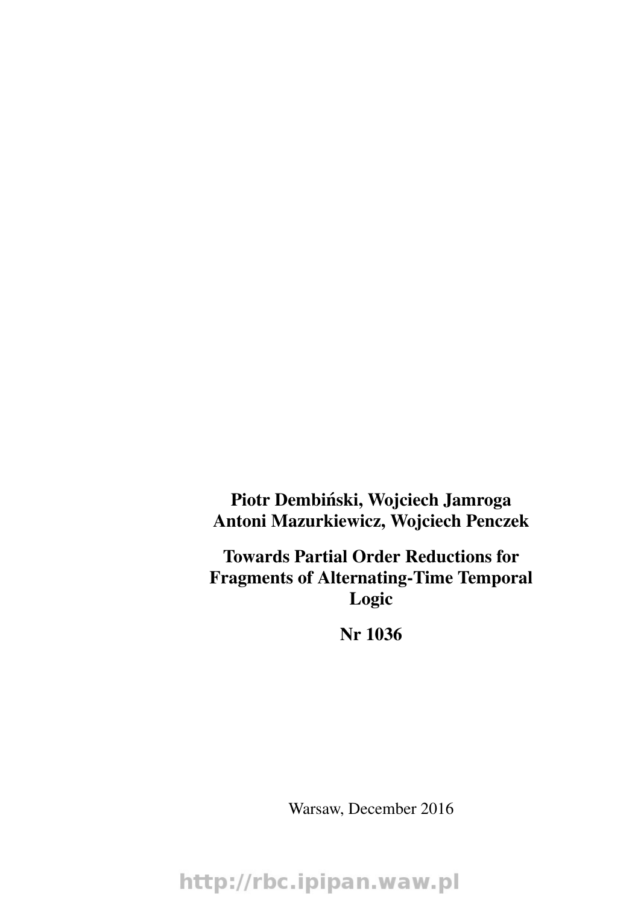Piotr Dembiński, Wojciech Jamroga Antoni Mazurkiewicz, Wojciech Penczek

Towards Partial Order Reductions for Fragments of Alternating-Time Temporal Logic

Nr 1036

Warsaw, December 2016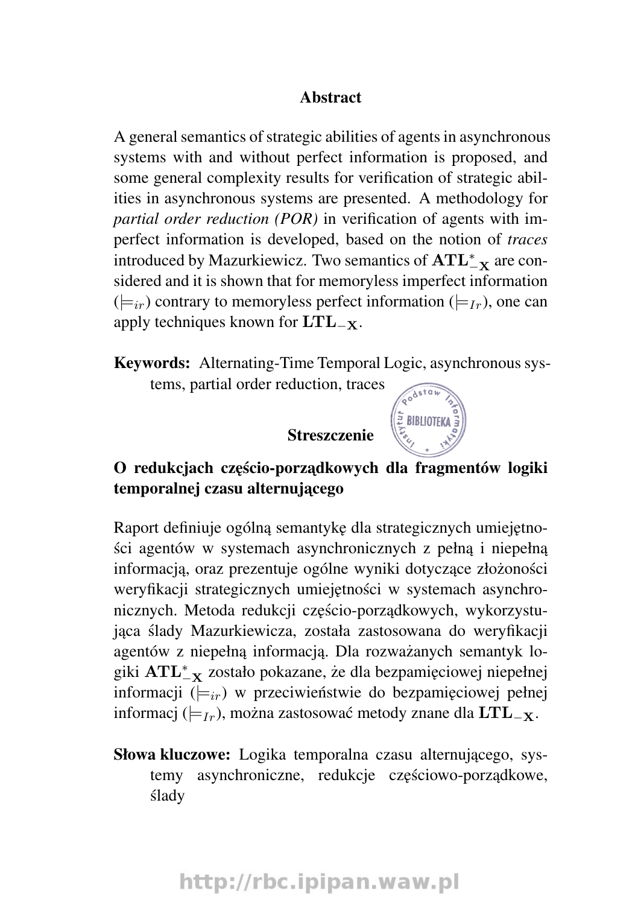#### Abstract

A general semantics of strategic abilities of agents in asynchronous systems with and without perfect information is proposed, and some general complexity results for verification of strategic abilities in asynchronous systems are presented. A methodology for *partial order reduction (POR)* in verification of agents with imperfect information is developed, based on the notion of *traces* introduced by Mazurkiewicz. Two semantics of  $\text{ATL}_{-\textbf{X}}^{*}$  are considered and it is shown that for memoryless imperfect information  $(|\equiv_{ir})$  contrary to memoryless perfect information  $(|\equiv_{Ir})$ , one can apply techniques known for  $LTL_{-X}$ .

Keywords: Alternating-Time Temporal Logic, asynchronous systems, partial order reduction, traces

Streszczenie

# E BIBLIOTEKA

## O redukciach cześcio-porzadkowych dla fragmentów logiki temporalnej czasu alternującego

Raport definiuje ogólna semantykę dla strategicznych umiejętności agentów w systemach asynchronicznych z pełna i niepełna informacja, oraz prezentuje ogólne wyniki dotyczące złożoności weryfikacji strategicznych umiejętności w systemach asynchronicznych. Metoda redukcji częścio-porządkowych, wykorzystujaca ślady Mazurkiewicza, została zastosowana do weryfikacji agentów z niepełną informacją. Dla rozważanych semantyk logiki  $\text{ATL}_{-\textbf{X}}^{*}$  zostało pokazane, że dla bezpamięciowej niepełnej informacji ( $\models_{ir}$ ) w przeciwieństwie do bezpamięciowej pełnej informacj ( $\models$ Ir), można zastosować metody znane dla LTL<sub>-X</sub>.

Słowa kluczowe: Logika temporalna czasu alternującego, systemy asynchroniczne, redukcje częściowo-porządkowe, slady ´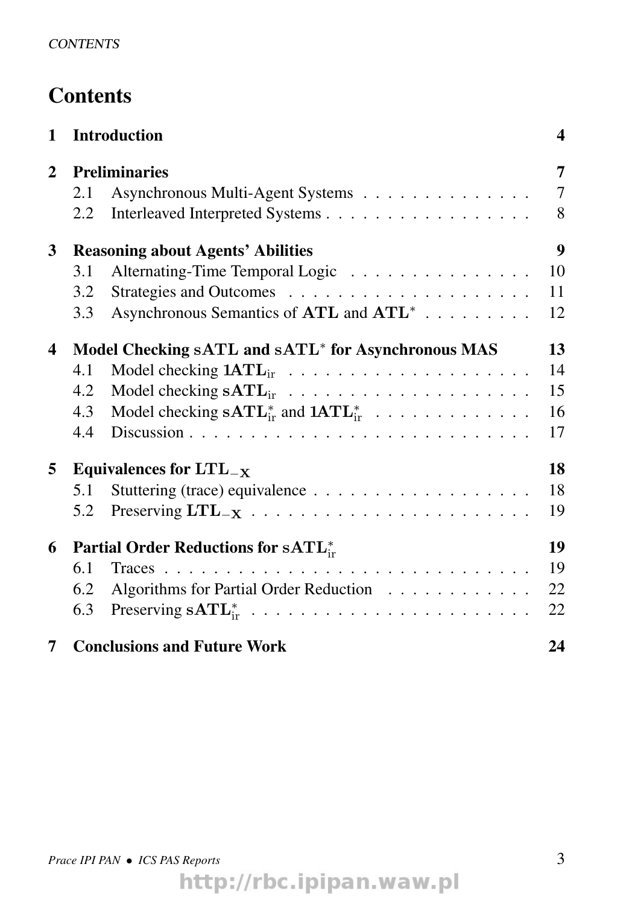## **Contents**

| 1 | <b>Introduction</b>                                            |                                                                  | 4      |  |
|---|----------------------------------------------------------------|------------------------------------------------------------------|--------|--|
| 2 | <b>Preliminaries</b>                                           |                                                                  |        |  |
|   | 2.1                                                            | Asynchronous Multi-Agent Systems                                 | $\tau$ |  |
|   | 2.2                                                            |                                                                  | 8      |  |
| 3 | <b>Reasoning about Agents' Abilities</b>                       |                                                                  |        |  |
|   | 3.1                                                            | Alternating-Time Temporal Logic                                  | 10     |  |
|   | 3.2                                                            |                                                                  | 11     |  |
|   | 3.3                                                            | Asynchronous Semantics of ATL and ATL <sup>*</sup>               | 12     |  |
| 4 | Model Checking sATL and sATL <sup>*</sup> for Asynchronous MAS |                                                                  |        |  |
|   | 4.1                                                            |                                                                  | 14     |  |
|   | 4.2                                                            |                                                                  | 15     |  |
|   | 4.3                                                            | Model checking $\textbf{sATL}_{ir}^*$ and $\textbf{1ATL}_{ir}^*$ | 16     |  |
|   | 4.4                                                            |                                                                  | 17     |  |
| 5 | Equivalences for $LTL_{-X}$                                    |                                                                  | 18     |  |
|   | 5.1                                                            |                                                                  | 18     |  |
|   | 5.2                                                            |                                                                  | 19     |  |
| 6 | Partial Order Reductions for sATL*                             |                                                                  |        |  |
|   | 6.1                                                            |                                                                  | 19     |  |
|   | 6.2                                                            | Algorithms for Partial Order Reduction                           | 22     |  |
|   | 6.3                                                            |                                                                  | 22     |  |
| 7 |                                                                | <b>Conclusions and Future Work</b>                               | 24     |  |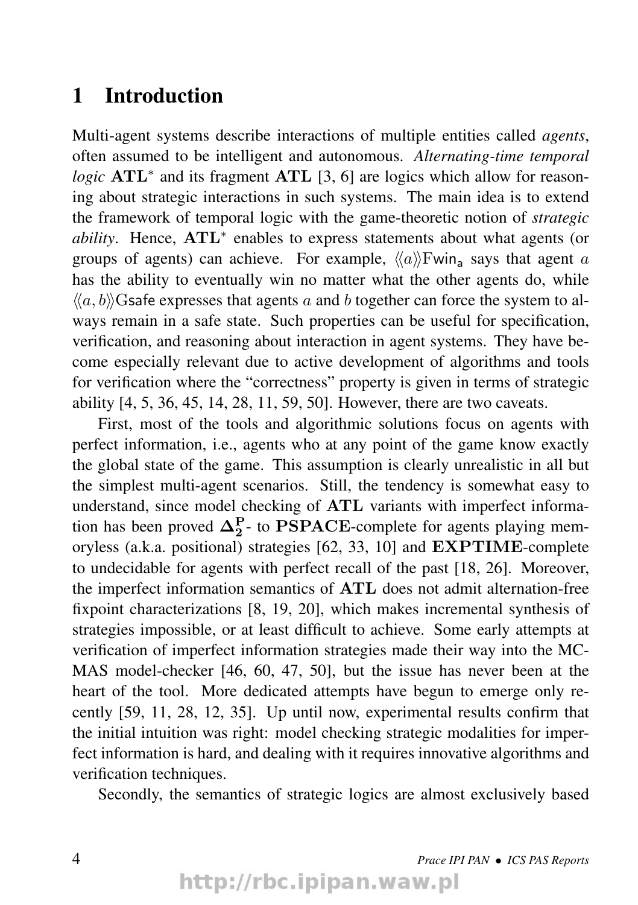### 1 Introduction

Multi-agent systems describe interactions of multiple entities called *agents*, often assumed to be intelligent and autonomous. *Alternating-time temporal logic* **ATL**<sup>\*</sup> and its fragment **ATL** [3, 6] are logics which allow for reasoning about strategic interactions in such systems. The main idea is to extend the framework of temporal logic with the game-theoretic notion of *strategic* ability. Hence, ATL<sup>\*</sup> enables to express statements about what agents (or groups of agents) can achieve. For example,  $\langle \langle a \rangle \rangle$ Fwin<sub>a</sub> says that agent a has the ability to eventually win no matter what the other agents do, while  $\langle\langle a, b \rangle\rangle$ Gsafe expresses that agents a and b together can force the system to always remain in a safe state. Such properties can be useful for specification, verification, and reasoning about interaction in agent systems. They have become especially relevant due to active development of algorithms and tools for verification where the "correctness" property is given in terms of strategic ability [4, 5, 36, 45, 14, 28, 11, 59, 50]. However, there are two caveats.

First, most of the tools and algorithmic solutions focus on agents with perfect information, i.e., agents who at any point of the game know exactly the global state of the game. This assumption is clearly unrealistic in all but the simplest multi-agent scenarios. Still, the tendency is somewhat easy to understand, since model checking of ATL variants with imperfect information has been proved  $\Delta_2^P$ - to PSPACE-complete for agents playing memoryless (a.k.a. positional) strategies [62, 33, 10] and EXPTIME-complete to undecidable for agents with perfect recall of the past [18, 26]. Moreover, the imperfect information semantics of ATL does not admit alternation-free fixpoint characterizations [8, 19, 20], which makes incremental synthesis of strategies impossible, or at least difficult to achieve. Some early attempts at verification of imperfect information strategies made their way into the MC-MAS model-checker [46, 60, 47, 50], but the issue has never been at the heart of the tool. More dedicated attempts have begun to emerge only recently [59, 11, 28, 12, 35]. Up until now, experimental results confirm that the initial intuition was right: model checking strategic modalities for imperfect information is hard, and dealing with it requires innovative algorithms and verification techniques.

Secondly, the semantics of strategic logics are almost exclusively based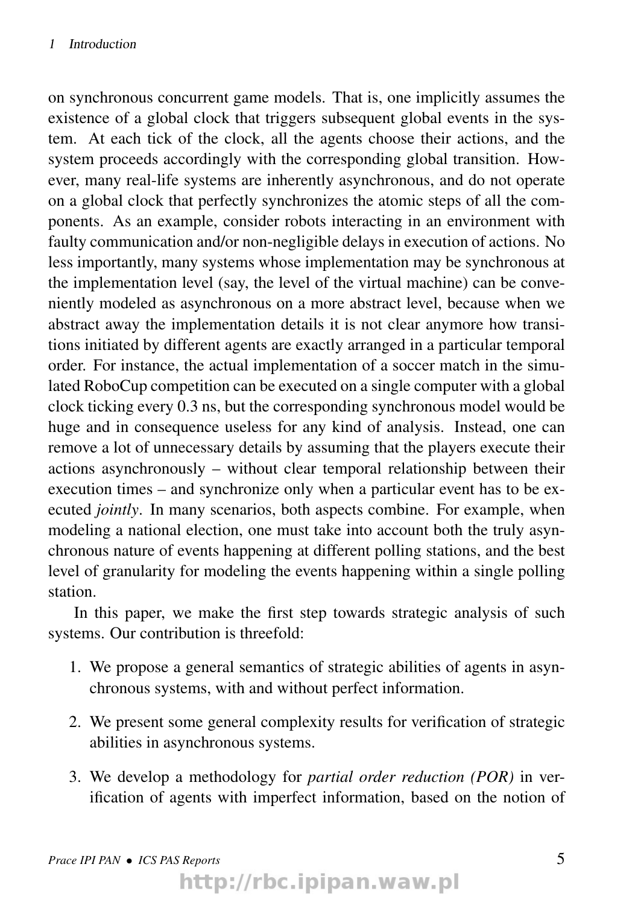on synchronous concurrent game models. That is, one implicitly assumes the existence of a global clock that triggers subsequent global events in the system. At each tick of the clock, all the agents choose their actions, and the system proceeds accordingly with the corresponding global transition. However, many real-life systems are inherently asynchronous, and do not operate on a global clock that perfectly synchronizes the atomic steps of all the components. As an example, consider robots interacting in an environment with faulty communication and/or non-negligible delays in execution of actions. No less importantly, many systems whose implementation may be synchronous at the implementation level (say, the level of the virtual machine) can be conveniently modeled as asynchronous on a more abstract level, because when we abstract away the implementation details it is not clear anymore how transitions initiated by different agents are exactly arranged in a particular temporal order. For instance, the actual implementation of a soccer match in the simulated RoboCup competition can be executed on a single computer with a global clock ticking every 0.3 ns, but the corresponding synchronous model would be huge and in consequence useless for any kind of analysis. Instead, one can remove a lot of unnecessary details by assuming that the players execute their actions asynchronously – without clear temporal relationship between their execution times – and synchronize only when a particular event has to be executed *jointly*. In many scenarios, both aspects combine. For example, when modeling a national election, one must take into account both the truly asynchronous nature of events happening at different polling stations, and the best level of granularity for modeling the events happening within a single polling station.

In this paper, we make the first step towards strategic analysis of such systems. Our contribution is threefold:

- 1. We propose a general semantics of strategic abilities of agents in asynchronous systems, with and without perfect information.
- 2. We present some general complexity results for verification of strategic abilities in asynchronous systems.
- 3. We develop a methodology for *partial order reduction (POR)* in verification of agents with imperfect information, based on the notion of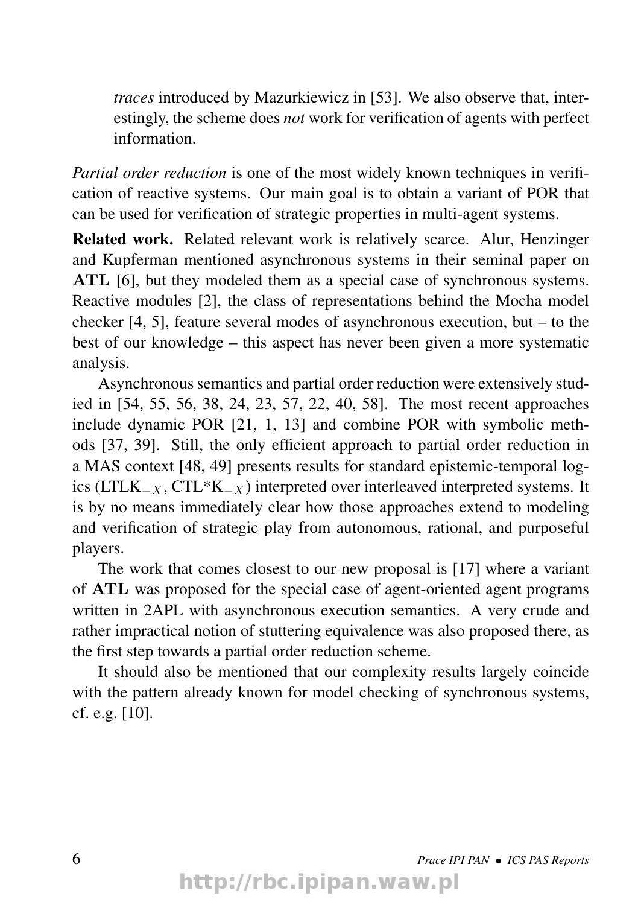*traces* introduced by Mazurkiewicz in [53]. We also observe that, interestingly, the scheme does *not* work for verification of agents with perfect information.

*Partial order reduction* is one of the most widely known techniques in verification of reactive systems. Our main goal is to obtain a variant of POR that can be used for verification of strategic properties in multi-agent systems.

Related work. Related relevant work is relatively scarce. Alur, Henzinger and Kupferman mentioned asynchronous systems in their seminal paper on ATL [6], but they modeled them as a special case of synchronous systems. Reactive modules [2], the class of representations behind the Mocha model checker [4, 5], feature several modes of asynchronous execution, but – to the best of our knowledge – this aspect has never been given a more systematic analysis.

Asynchronous semantics and partial order reduction were extensively studied in [54, 55, 56, 38, 24, 23, 57, 22, 40, 58]. The most recent approaches include dynamic POR [21, 1, 13] and combine POR with symbolic methods [37, 39]. Still, the only efficient approach to partial order reduction in a MAS context [48, 49] presents results for standard epistemic-temporal logics (LTLK<sub>-X</sub>, CTL<sup>\*</sup>K<sub>-X</sub>) interpreted over interleaved interpreted systems. It is by no means immediately clear how those approaches extend to modeling and verification of strategic play from autonomous, rational, and purposeful players.

The work that comes closest to our new proposal is [17] where a variant of ATL was proposed for the special case of agent-oriented agent programs written in 2APL with asynchronous execution semantics. A very crude and rather impractical notion of stuttering equivalence was also proposed there, as the first step towards a partial order reduction scheme.

It should also be mentioned that our complexity results largely coincide with the pattern already known for model checking of synchronous systems, cf. e.g. [10].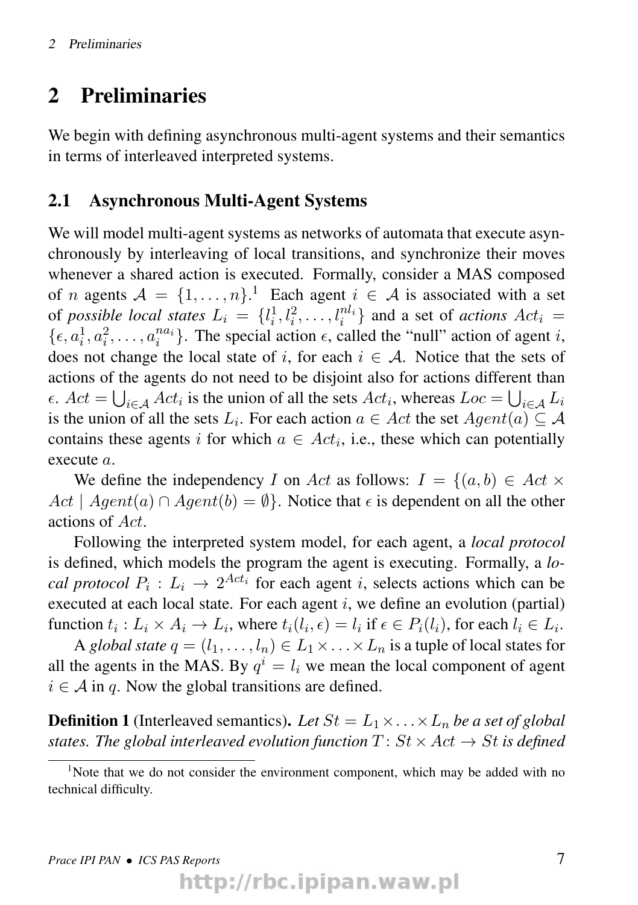## 2 Preliminaries

We begin with defining asynchronous multi-agent systems and their semantics in terms of interleaved interpreted systems.

#### 2.1 Asynchronous Multi-Agent Systems

We will model multi-agent systems as networks of automata that execute asynchronously by interleaving of local transitions, and synchronize their moves whenever a shared action is executed. Formally, consider a MAS composed of *n* agents  $A = \{1, \ldots, n\}$ .<sup>1</sup> Each agent  $i \in A$  is associated with a set of *possible local states*  $L_i = \{l_i^1, l_i^2, \dots, l_i^{nl_i}\}$  and a set of *actions*  $Act_i =$  $\{\epsilon, a_i^1, a_i^2, \ldots, a_i^{na_i}\}$ . The special action  $\epsilon$ , called the "null" action of agent *i*, does not change the local state of i, for each  $i \in A$ . Notice that the sets of actions of the agents do not need to be disjoint also for actions different than  $\epsilon$ .  $Act = \bigcup_{i \in A} Act_i$  is the union of all the sets  $Act_i$ , whereas  $Loc = \bigcup_{i \in A} L_i$ is the union of all the sets  $L_i$ . For each action  $a \in Act$  the set  $Agent(a) \subseteq \mathcal{A}$ contains these agents i for which  $a \in Act_i$ , i.e., these which can potentially execute a.

We define the independency I on Act as follows:  $I = \{(a, b) \in Act \times$  $Act \mid Agent(a) \cap Agent(b) = \emptyset$ . Notice that  $\epsilon$  is dependent on all the other actions of Act.

Following the interpreted system model, for each agent, a *local protocol* is defined, which models the program the agent is executing. Formally, a *local protocol*  $P_i: L_i \to 2^{Act_i}$  for each agent *i*, selects actions which can be executed at each local state. For each agent  $i$ , we define an evolution (partial) function  $t_i: L_i \times A_i \to L_i$ , where  $t_i(l_i, \epsilon) = l_i$  if  $\epsilon \in P_i(l_i)$ , for each  $l_i \in L_i$ .

A *global state*  $q = (l_1, \ldots, l_n) \in L_1 \times \ldots \times L_n$  is a tuple of local states for all the agents in the MAS. By  $q^{i} = l_{i}$  we mean the local component of agent  $i \in A$  in q. Now the global transitions are defined.

**Definition 1** (Interleaved semantics). Let  $St = L_1 \times ... \times L_n$  be a set of global *states. The global interleaved evolution function*  $T: St \times Act \rightarrow St$  *is defined* 

<sup>&</sup>lt;sup>1</sup>Note that we do not consider the environment component, which may be added with no technical difficulty.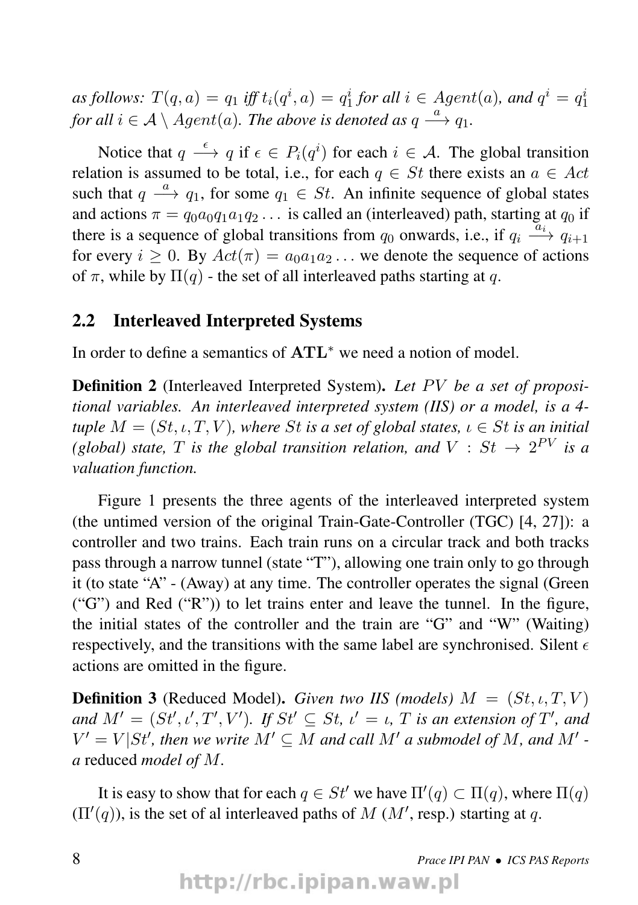*as follows:*  $T(q, a) = q_1$  *iff*  $t_i(q^i, a) = q_1^i$  *for all*  $i \in Agent(a)$ *, and*  $q^i = q_1^i$ for all  $i \in \mathcal{A} \setminus Agent(a).$  The above is denoted as  $q \stackrel{a}{\longrightarrow} q_1.$ 

Notice that  $q \stackrel{\epsilon}{\longrightarrow} q$  if  $\epsilon \in P_i(q^i)$  for each  $i \in \mathcal{A}$ . The global transition relation is assumed to be total, i.e., for each  $q \in St$  there exists an  $a \in Act$ such that  $q \stackrel{a}{\longrightarrow} q_1$ , for some  $q_1 \in St$ . An infinite sequence of global states and actions  $\pi = q_0 a_0 q_1 a_1 q_2 \dots$  is called an (interleaved) path, starting at  $q_0$  if there is a sequence of global transitions from  $q_0$  onwards, i.e., if  $q_i \stackrel{\overline{a_i}}{\longrightarrow} q_{i+1}$ for every  $i > 0$ . By  $Act(\pi) = a_0a_1a_2...$  we denote the sequence of actions of  $\pi$ , while by  $\Pi(q)$  - the set of all interleaved paths starting at q.

#### 2.2 Interleaved Interpreted Systems

In order to define a semantics of ATL<sup>∗</sup> we need a notion of model.

**Definition 2** (Interleaved Interpreted System). Let PV be a set of proposi*tional variables. An interleaved interpreted system (IIS) or a model, is a 4 tuple*  $M = (St, \iota, T, V)$ *, where* St *is a set of global states,*  $\iota \in St$  *is an initial* (global) state, T is the global transition relation, and  $V : St \rightarrow 2^{PV}$  is a *valuation function.*

Figure 1 presents the three agents of the interleaved interpreted system (the untimed version of the original Train-Gate-Controller (TGC) [4, 27]): a controller and two trains. Each train runs on a circular track and both tracks pass through a narrow tunnel (state "T"), allowing one train only to go through it (to state "A" - (Away) at any time. The controller operates the signal (Green ("G") and Red ("R")) to let trains enter and leave the tunnel. In the figure, the initial states of the controller and the train are "G" and "W" (Waiting) respectively, and the transitions with the same label are synchronised. Silent  $\epsilon$ actions are omitted in the figure.

**Definition 3** (Reduced Model). *Given two IIS (models)*  $M = (St, \iota, T, V)$ *and*  $M' = (St', t', T', V')$ . If  $St' \subseteq St$ ,  $t' = t$ ,  $T$  *is an extension of*  $T'$ , and  $V' = V | St'$ , then we write  $M' \subseteq M$  and call  $M'$  a submodel of  $M$ , and  $M'$  *a* reduced *model of* M*.*

It is easy to show that for each  $q \in St'$  we have  $\Pi'(q) \subset \Pi(q)$ , where  $\Pi(q)$  $(\Pi'(q))$ , is the set of al interleaved paths of M (M', resp.) starting at q.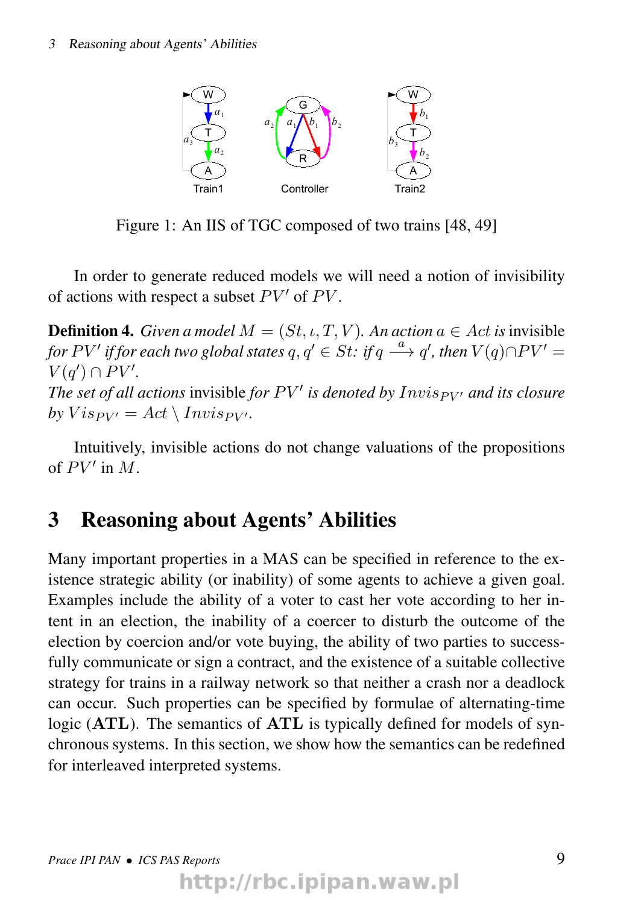

Figure 1: An IIS of TGC composed of two trains [48, 49]

In order to generate reduced models we will need a notion of invisibility of actions with respect a subset  $PV'$  of  $PV$ .

**Definition 4.** *Given a model*  $M = (St, \iota, T, V)$ *. An action*  $a \in Act$  *is* invisible *for*  $PV'$  *if for each two global states*  $q, q' \in St:$  *if*  $q \stackrel{a}{\longrightarrow} q'$  *, then*  $V(q) \cap PV' = \emptyset$  $V(q') \cap PV'.$ *The set of all actions* invisible *for*  $PV'$  *is denoted by*  $Invis_{PV'}$  *and its closure by*  $Vis_{PV'} = Act \setminus Invisp_{V'}$ .

Intuitively, invisible actions do not change valuations of the propositions of  $PV'$  in  $M$ .

## 3 Reasoning about Agents' Abilities

Many important properties in a MAS can be specified in reference to the existence strategic ability (or inability) of some agents to achieve a given goal. Examples include the ability of a voter to cast her vote according to her intent in an election, the inability of a coercer to disturb the outcome of the election by coercion and/or vote buying, the ability of two parties to successfully communicate or sign a contract, and the existence of a suitable collective strategy for trains in a railway network so that neither a crash nor a deadlock can occur. Such properties can be specified by formulae of alternating-time logic (ATL). The semantics of ATL is typically defined for models of synchronous systems. In this section, we show how the semantics can be redefined for interleaved interpreted systems.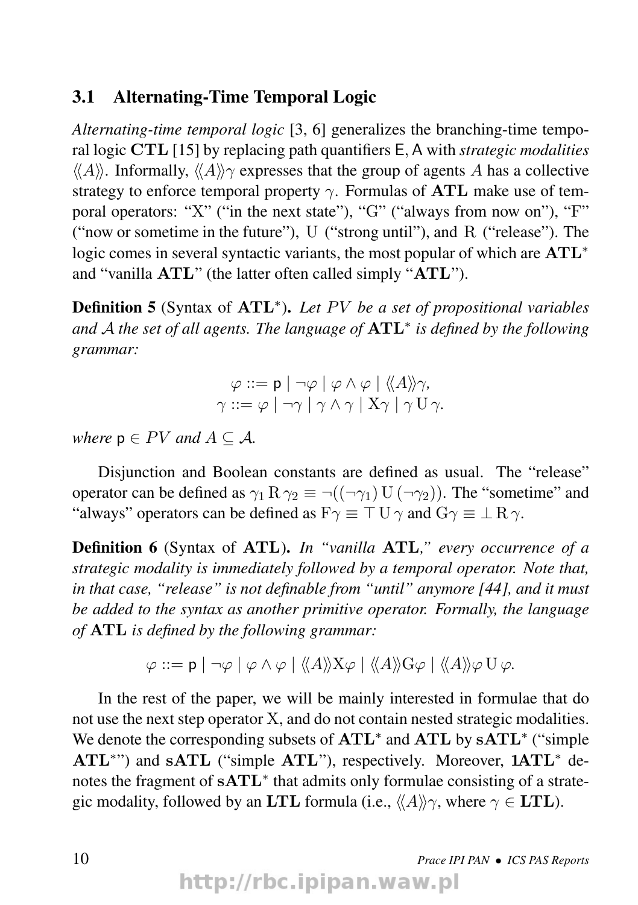#### 3.1 Alternating-Time Temporal Logic

*Alternating-time temporal logic* [3, 6] generalizes the branching-time temporal logic CTL [15] by replacing path quantifiers E, A with *strategic modalities*  $\langle A \rangle$ . Informally,  $\langle A \rangle \rangle \gamma$  expresses that the group of agents A has a collective strategy to enforce temporal property  $\gamma$ . Formulas of ATL make use of temporal operators: "X" ("in the next state"), "G" ("always from now on"), "F" ("now or sometime in the future"), U ("strong until"), and R ("release"). The logic comes in several syntactic variants, the most popular of which are ATL<sup>∗</sup> and "vanilla ATL" (the latter often called simply "ATL").

Definition 5 (Syntax of ATL<sup>\*</sup>). Let PV be a set of propositional variables *and* A *the set of all agents. The language of* ATL<sup>∗</sup> *is defined by the following grammar:*

$$
\varphi ::= \mathbf{p} | \neg \varphi | \varphi \land \varphi | \langle \langle A \rangle \rangle \gamma,
$$
  

$$
\gamma ::= \varphi | \neg \gamma | \gamma \land \gamma | X\gamma | \gamma U\gamma.
$$

*where*  $p \in PV$  *and*  $A \subseteq A$ *.* 

Disjunction and Boolean constants are defined as usual. The "release" operator can be defined as  $\gamma_1 R \gamma_2 \equiv \neg((\neg \gamma_1) U (\neg \gamma_2))$ . The "sometime" and "always" operators can be defined as  $F\gamma \equiv \top U \gamma$  and  $G\gamma \equiv \bot R \gamma$ .

Definition 6 (Syntax of ATL). *In "vanilla* ATL*," every occurrence of a strategic modality is immediately followed by a temporal operator. Note that, in that case, "release" is not definable from "until" anymore [44], and it must be added to the syntax as another primitive operator. Formally, the language of* ATL *is defined by the following grammar:*

$$
\varphi ::= \mathsf{p} \mid \neg \varphi \mid \varphi \land \varphi \mid \langle \! \langle A \rangle \! \rangle X \varphi \mid \langle \! \langle A \rangle \! \rangle G \varphi \mid \langle \! \langle A \rangle \! \rangle \varphi \mathsf{U} \varphi.
$$

In the rest of the paper, we will be mainly interested in formulae that do not use the next step operator X, and do not contain nested strategic modalities. We denote the corresponding subsets of ATL<sup>\*</sup> and ATL by sATL<sup>\*</sup> ("simple ATL<sup>\*"</sup>) and sATL ("simple ATL"), respectively. Moreover, 1ATL<sup>\*</sup> denotes the fragment of sATL<sup>\*</sup> that admits only formulae consisting of a strategic modality, followed by an LTL formula (i.e.,  $\langle A \rangle \gamma$ , where  $\gamma \in \text{LTL}$ ).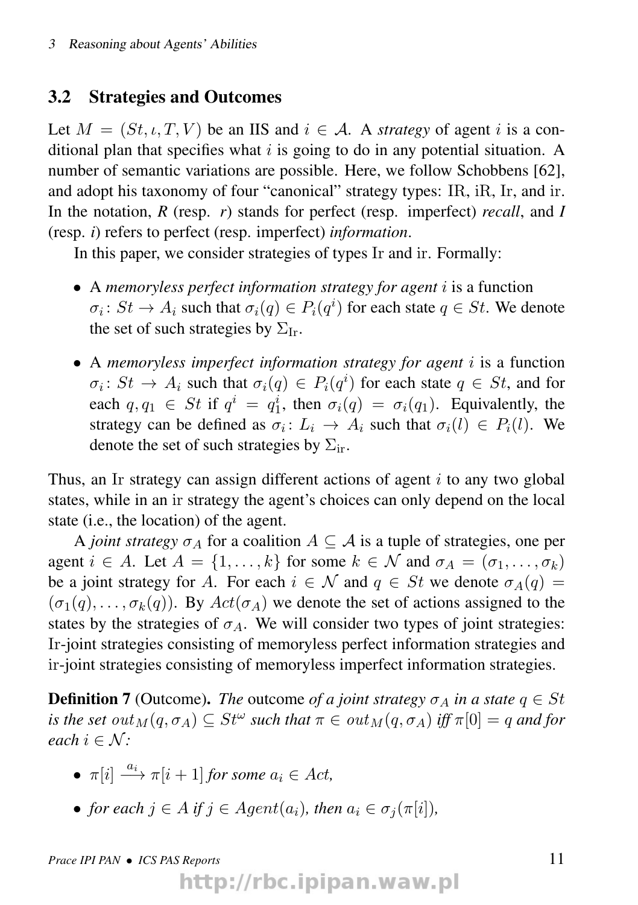#### 3.2 Strategies and Outcomes

Let  $M = (St, \iota, T, V)$  be an IIS and  $i \in A$ . A *strategy* of agent i is a conditional plan that specifies what  $i$  is going to do in any potential situation. A number of semantic variations are possible. Here, we follow Schobbens [62], and adopt his taxonomy of four "canonical" strategy types: IR, iR, Ir, and ir. In the notation, *R* (resp. *r*) stands for perfect (resp. imperfect) *recall*, and *I* (resp. *i*) refers to perfect (resp. imperfect) *information*.

In this paper, we consider strategies of types Ir and ir. Formally:

- A *memoryless perfect information strategy for agent* i is a function  $\sigma_i\colon St\to A_i$  such that  $\sigma_i(q)\in P_i(q^i)$  for each state  $q\in St.$  We denote the set of such strategies by  $\Sigma_{\text{Ir}}$ .
- A *memoryless imperfect information strategy for agent* i is a function  $\sigma_i: St \to A_i$  such that  $\sigma_i(q) \in P_i(q^i)$  for each state  $q \in St$ , and for each  $q, q_1 \in St$  if  $q^i = q_1^i$ , then  $\sigma_i(q) = \sigma_i(q_1)$ . Equivalently, the strategy can be defined as  $\sigma_i: L_i \to A_i$  such that  $\sigma_i(l) \in P_i(l)$ . We denote the set of such strategies by  $\Sigma_{ir}$ .

Thus, an Ir strategy can assign different actions of agent i to any two global states, while in an ir strategy the agent's choices can only depend on the local state (i.e., the location) of the agent.

A *joint strategy*  $\sigma_A$  for a coalition  $A \subset \mathcal{A}$  is a tuple of strategies, one per agent  $i \in A$ . Let  $A = \{1, \ldots, k\}$  for some  $k \in \mathcal{N}$  and  $\sigma_A = (\sigma_1, \ldots, \sigma_k)$ be a joint strategy for A. For each  $i \in \mathcal{N}$  and  $q \in St$  we denote  $\sigma_A(q)$  =  $(\sigma_1(q), \ldots, \sigma_k(q))$ . By  $Act(\sigma_A)$  we denote the set of actions assigned to the states by the strategies of  $\sigma_A$ . We will consider two types of joint strategies: Ir-joint strategies consisting of memoryless perfect information strategies and ir-joint strategies consisting of memoryless imperfect information strategies.

**Definition 7** (Outcome). *The* outcome *of a joint strategy*  $\sigma_A$  *in a state*  $q \in St$ *is the set*  $out_M(q, \sigma_A) \subseteq St^{\omega}$  such that  $\pi \in out_M(q, \sigma_A)$  *iff*  $\pi[0] = q$  and for *each*  $i \in \mathcal{N}$ *:* 

- $\pi[i] \stackrel{a_i}{\longrightarrow} \pi[i+1]$  *for some*  $a_i \in Act$ ,
- *for each*  $i \in A$  *if*  $i \in A$ *gent*( $a_i$ *), then*  $a_i \in \sigma_i(\pi[i])$ *,*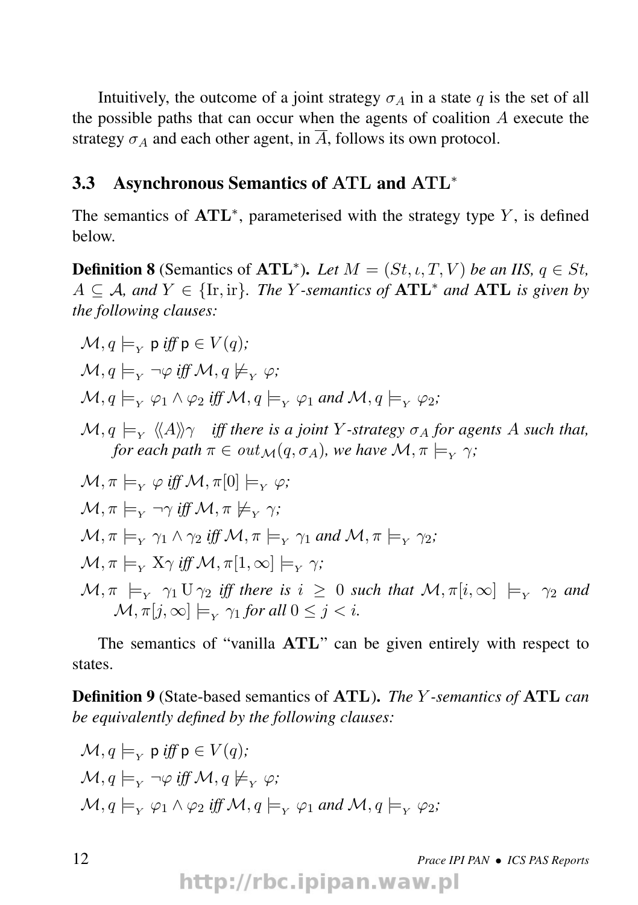Intuitively, the outcome of a joint strategy  $\sigma_A$  in a state q is the set of all the possible paths that can occur when the agents of coalition  $A$  execute the strategy  $\sigma_A$  and each other agent, in  $\overline{A}$ , follows its own protocol.

#### 3.3 Asynchronous Semantics of ATL and ATL<sup>∗</sup>

The semantics of  $\text{ATL}^*$ , parameterised with the strategy type Y, is defined below.

**Definition 8** (Semantics of  $\text{ATL}^*$ ). Let  $M = (St, \iota, T, V)$  be an IIS,  $q \in St$ ,  $A ⊆ A$ *, and*  $Y ∈ {Ir, ir}$ *. The Y*-semantics of **ATL**<sup>\*</sup> and **ATL** is given by *the following clauses:*

$$
\mathcal{M}, q \models_{Y} p \text{ iff } p \in V(q);
$$
\n
$$
\mathcal{M}, q \models_{Y} \neg \varphi \text{ iff } \mathcal{M}, q \not\models_{Y} \varphi;
$$
\n
$$
\mathcal{M}, q \models_{Y} \varphi_{1} \land \varphi_{2} \text{ iff } \mathcal{M}, q \models_{Y} \varphi_{1} \text{ and } \mathcal{M}, q \models_{Y} \varphi_{2};
$$
\n
$$
\mathcal{M}, q \models_{Y} \langle \langle A \rangle \rangle \gamma \text{ iff there is a joint } Y\text{-strategy } \sigma_{A} \text{ for agents } A \text{ such that, for each path } \pi \in out_{\mathcal{M}}(q, \sigma_{A}), \text{ we have } \mathcal{M}, \pi \models_{Y} \gamma;
$$
\n
$$
\mathcal{M}, \pi \models_{Y} \varphi \text{ iff } \mathcal{M}, \pi[0] \models_{Y} \varphi;
$$
\n
$$
\mathcal{M}, \pi \models_{Y} \neg \gamma \text{ iff } \mathcal{M}, \pi \not\models_{Y} \gamma;
$$
\n
$$
\mathcal{M}, \pi \models_{Y} \gamma_{1} \land \gamma_{2} \text{ iff } \mathcal{M}, \pi \models_{Y} \gamma_{1} \text{ and } \mathcal{M}, \pi \models_{Y} \gamma_{2};
$$
\n
$$
\mathcal{M}, \pi \models_{Y} \chi_{\gamma} \text{ iff } \mathcal{M}, \pi[1, \infty] \models_{Y} \gamma;
$$
\n
$$
\mathcal{M}, \pi \models_{Y} \gamma_{1} \text{ U } \gamma_{2} \text{ iff there is } i \geq 0 \text{ such that } \mathcal{M}, \pi[i, \infty] \models_{Y} \gamma_{2} \text{ and } \mathcal{M}, \pi[j, \infty] \models_{Y} \gamma_{1} \text{ for all } 0 \leq j < i.
$$

The semantics of "vanilla ATL" can be given entirely with respect to states.

Definition 9 (State-based semantics of ATL). *The* Y *-semantics of* ATL *can be equivalently defined by the following clauses:*

$$
\mathcal{M}, q \models_{Y} \mathsf{p} \text{ iff } \mathsf{p} \in V(q);
$$
  

$$
\mathcal{M}, q \models_{Y} \neg \varphi \text{ iff } \mathcal{M}, q \not\models_{Y} \varphi;
$$
  

$$
\mathcal{M}, q \models_{Y} \varphi_{1} \land \varphi_{2} \text{ iff } \mathcal{M}, q \models_{Y} \varphi_{1} \text{ and } \mathcal{M}, q \models_{Y} \varphi_{2};
$$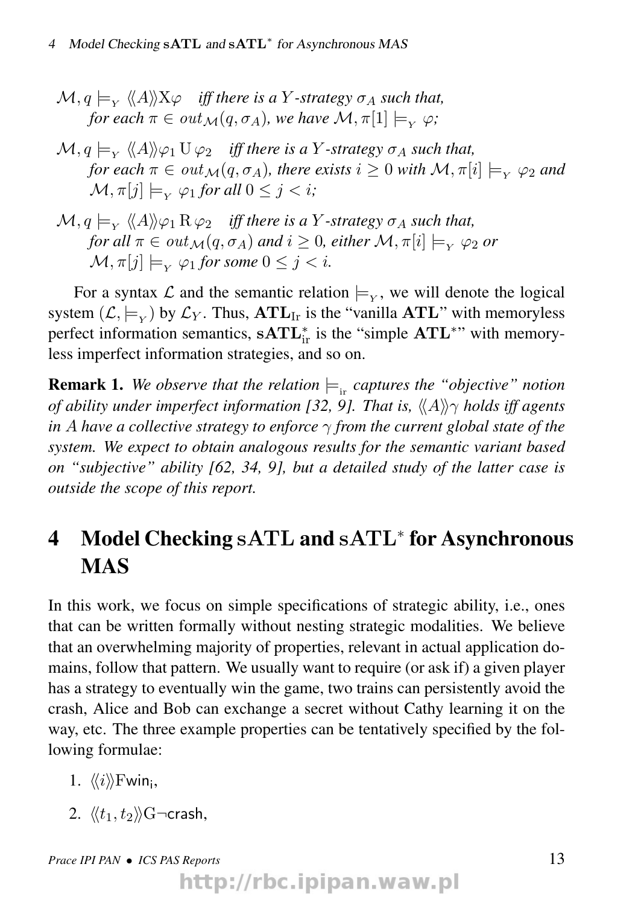- $\mathcal{M}, q \models_{Y} \langle\!\langle A \rangle\!\rangle \mathrm{X} \varphi$  *iff there is a*  $Y$ *-strategy*  $\sigma_{A}$  *such that, for each*  $\pi \in out_{\mathcal{M}}(q, \sigma_A)$ *, we have*  $\mathcal{M}, \pi[1] \models_{\mathcal{M}} \varphi$ *;*
- $\mathcal{M}, q \models_{_Y} \langle\!\langle A \rangle\!\rangle \varphi_1 \, \mathrm{U}\, \varphi_2 \quad \textit{iff there is a $Y$-strategy $\sigma_A$ such that,}$ *for each*  $\pi \in out_{\mathcal{M}}(q, \sigma_A)$ *, there exists*  $i \geq 0$  *with*  $\mathcal{M}, \pi[i] \models_{Y} \varphi_2$  *and*  $\mathcal{M}, \pi[i] \models_{\mathcal{V}} \varphi_1$  *for all*  $0 \leq j \leq i$ *;*
- $(\mathcal{M}, q \models_{_Y} \langle\!\langle A \rangle\!\rangle \varphi_1 \operatorname{R} \varphi_2$  *iff there is a Y-strategy*  $\sigma_A$  *such that, for all*  $\pi \in out_{\mathcal{M}}(q, \sigma_A)$  *and*  $i \geq 0$ *, either*  $\mathcal{M}, \pi[i] \models_{\mathcal{V}} \varphi_2$  *or*  $\mathcal{M}, \pi[j] \models_{\mathcal{V}} \varphi_1$  for some  $0 \leq i \leq i$ .

For a syntax  $\mathcal L$  and the semantic relation  $\models_{Y}$ , we will denote the logical system  $(\mathcal{L}, \models_Y)$  by  $\mathcal{L}_Y$ . Thus,  $\mathbf{ATL}_{\mathrm{Ir}}$  is the "vanilla  $\mathbf{ATL}$ " with memoryless perfect information semantics,  $\mathbf{sATL}_{ir}^*$  is the "simple  $\mathbf{ATL}^{**}$ " with memoryless imperfect information strategies, and so on.

**Remark 1.** We observe that the relation  $\models_{ir}$  captures the "objective" notion *of ability under imperfect information [32, 9]. That is,*  $\langle \langle A \rangle \rangle \gamma$  *holds iff agents in* A *have a collective strategy to enforce* γ *from the current global state of the system. We expect to obtain analogous results for the semantic variant based on "subjective" ability [62, 34, 9], but a detailed study of the latter case is outside the scope of this report.*

## 4 Model Checking sATL and sATL<sup>∗</sup> for Asynchronous MAS

In this work, we focus on simple specifications of strategic ability, i.e., ones that can be written formally without nesting strategic modalities. We believe that an overwhelming majority of properties, relevant in actual application domains, follow that pattern. We usually want to require (or ask if) a given player has a strategy to eventually win the game, two trains can persistently avoid the crash, Alice and Bob can exchange a secret without Cathy learning it on the way, etc. The three example properties can be tentatively specified by the following formulae:

- 1.  $\langle\!\langle i \rangle\!\rangle$ Fwin<sub>i</sub>,
- 2.  $\langle \langle t_1, t_2 \rangle \rangle$ G $\neg$ crash,

*Prace IPI PAN* • *ICS PAS Reports* 13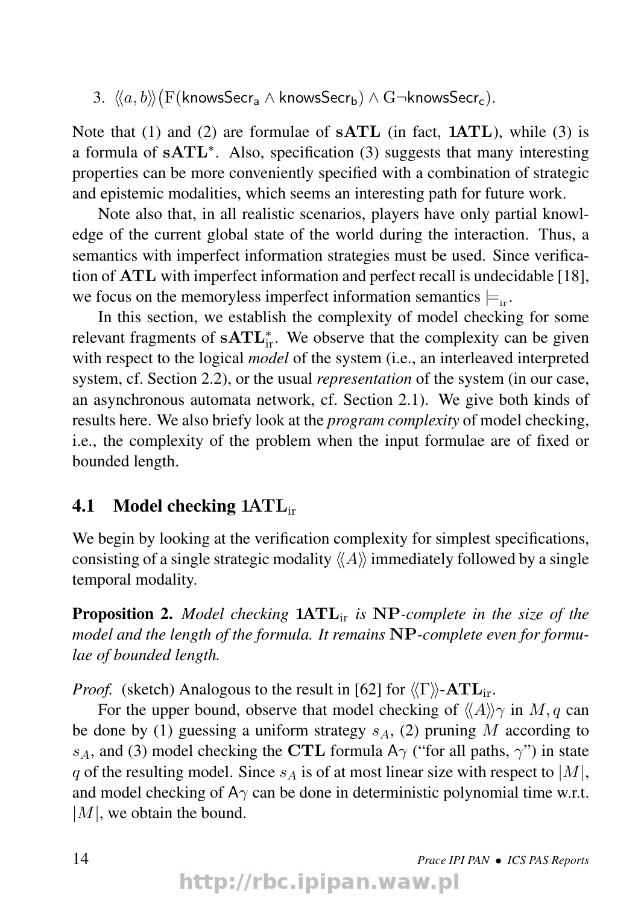$3. \ \ \langle\!\langle a, b \rangle\!\rangle \big( \mathrm{F}(\mathsf{knowsSecr}_{\mathsf{a}} \wedge \mathsf{knowsSecr}_{\mathsf{b}}) \wedge \mathrm{G} \neg \mathsf{knowsSecr}_{\mathsf{c}}).$ 

Note that (1) and (2) are formulae of  $\textbf{sATL}$  (in fact,  $\textbf{1ATE}$ ), while (3) is a formula of sATL<sup>\*</sup>. Also, specification (3) suggests that many interesting properties can be more conveniently specified with a combination of strategic and epistemic modalities, which seems an interesting path for future work.

Note also that, in all realistic scenarios, players have only partial knowledge of the current global state of the world during the interaction. Thus, a semantics with imperfect information strategies must be used. Since verification of ATL with imperfect information and perfect recall is undecidable [18], we focus on the memoryless imperfect information semantics  $\models_{i}$ .

In this section, we establish the complexity of model checking for some relevant fragments of  $\textbf{sATL}_{ir}^*$ . We observe that the complexity can be given with respect to the logical *model* of the system (i.e., an interleaved interpreted system, cf. Section 2.2), or the usual *representation* of the system (in our case, an asynchronous automata network, cf. Section 2.1). We give both kinds of results here. We also briefy look at the *program complexity* of model checking, i.e., the complexity of the problem when the input formulae are of fixed or bounded length.

#### 4.1 Model checking 1ATLir

We begin by looking at the verification complexity for simplest specifications, consisting of a single strategic modality  $\langle A \rangle$  immediately followed by a single temporal modality.

Proposition 2. *Model checking* 1ATLir *is* NP*-complete in the size of the model and the length of the formula. It remains* NP*-complete even for formulae of bounded length.*

*Proof.* (sketch) Analogous to the result in [62] for  $\langle \Gamma \rangle$ -ATL<sub>ir</sub>.

For the upper bound, observe that model checking of  $\langle A \rangle \gamma$  in M, q can be done by (1) guessing a uniform strategy  $s_A$ , (2) pruning M according to s<sub>A</sub>, and (3) model checking the CTL formula A $\gamma$  ("for all paths,  $\gamma$ ") in state q of the resulting model. Since  $s_A$  is of at most linear size with respect to  $|M|$ , and model checking of  $A\gamma$  can be done in deterministic polynomial time w.r.t.  $|M|$ , we obtain the bound.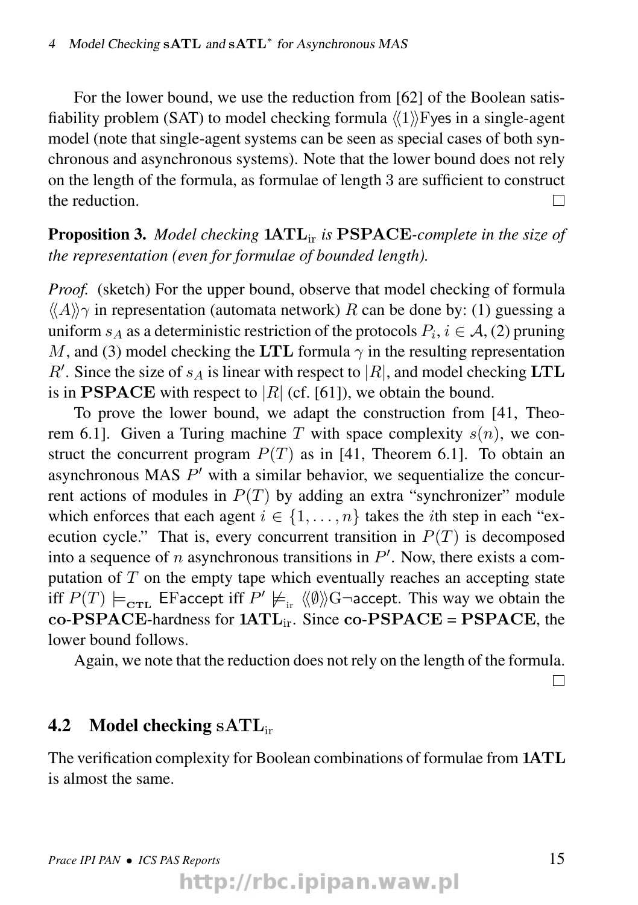For the lower bound, we use the reduction from [62] of the Boolean satisfiability problem (SAT) to model checking formula  $\langle\langle 1 \rangle$ ) Fyes in a single-agent model (note that single-agent systems can be seen as special cases of both synchronous and asynchronous systems). Note that the lower bound does not rely on the length of the formula, as formulae of length 3 are sufficient to construct the reduction.  $\Box$ 

#### Proposition 3. *Model checking* 1ATLir *is* PSPACE*-complete in the size of the representation (even for formulae of bounded length).*

*Proof.* (sketch) For the upper bound, observe that model checking of formula  $\langle\langle A \rangle\rangle$  in representation (automata network) R can be done by: (1) guessing a uniform  $s_A$  as a deterministic restriction of the protocols  $P_i$ ,  $i \in A$ , (2) pruning M, and (3) model checking the LTL formula  $\gamma$  in the resulting representation  $R'$ . Since the size of  $s_A$  is linear with respect to |R|, and model checking LTL is in **PSPACE** with respect to  $|R|$  (cf. [61]), we obtain the bound.

To prove the lower bound, we adapt the construction from [41, Theorem 6.1]. Given a Turing machine T with space complexity  $s(n)$ , we construct the concurrent program  $P(T)$  as in [41, Theorem 6.1]. To obtain an asynchronous MAS  $P'$  with a similar behavior, we sequentialize the concurrent actions of modules in  $P(T)$  by adding an extra "synchronizer" module which enforces that each agent  $i \in \{1, \ldots, n\}$  takes the *i*th step in each "execution cycle." That is, every concurrent transition in  $P(T)$  is decomposed into a sequence of n asynchronous transitions in  $P'$ . Now, there exists a computation of  $T$  on the empty tape which eventually reaches an accepting state iff  $P(T)\models_{\text{{\bf cr}{\bf L}}}$  EFaccept iff  $P'\not\models_{\text{ir}}\langle\!\langle\emptyset\rangle\!\rangle\!\text{G}\neg\text{{\bf accept.}}$  This way we obtain the  $co-PSPACE$ -hardness for  $1ATE$ <sub>ir</sub>. Since  $co-PSPACE$  = PSPACE, the lower bound follows.

Again, we note that the reduction does not rely on the length of the formula.

 $\Box$ 

#### 4.2 Model checking  $\text{SATL}_{ir}$

The verification complexity for Boolean combinations of formulae from 1ATL is almost the same.

http://rbc.ipipan.waw.pl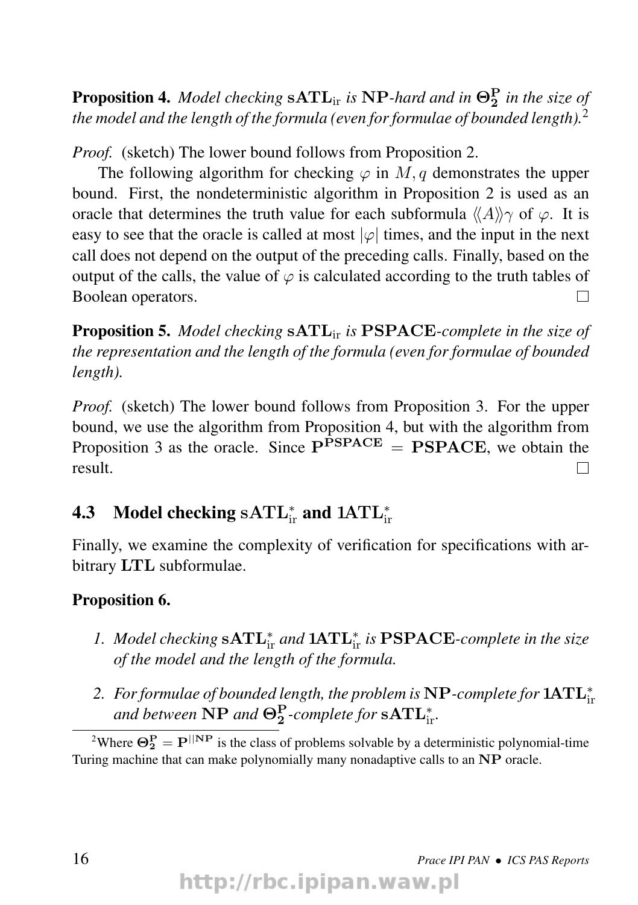**Proposition 4.** Model checking  $\text{sATL}_{\text{ir}}$  is NP-hard and in  $\Theta_2^P$  in the size of *the model and the length of the formula (even for formulae of bounded length).*<sup>2</sup>

*Proof.* (sketch) The lower bound follows from Proposition 2.

The following algorithm for checking  $\varphi$  in M, q demonstrates the upper bound. First, the nondeterministic algorithm in Proposition 2 is used as an oracle that determines the truth value for each subformula  $\langle A \rangle \gamma$  of  $\varphi$ . It is easy to see that the oracle is called at most  $|\varphi|$  times, and the input in the next call does not depend on the output of the preceding calls. Finally, based on the output of the calls, the value of  $\varphi$  is calculated according to the truth tables of Boolean operators.  $\Box$ 

Proposition 5. *Model checking* sATLir *is* PSPACE*-complete in the size of the representation and the length of the formula (even for formulae of bounded length).*

*Proof.* (sketch) The lower bound follows from Proposition 3. For the upper bound, we use the algorithm from Proposition 4, but with the algorithm from Proposition 3 as the oracle. Since  $P^{PSPACE} = PSPACE$ , we obtain the result.  $\Box$ 

## **4.3** Model checking  $\text{SATL}_{\text{ir}}^*$  and  $1\text{ATL}_{\text{ir}}^*$

Finally, we examine the complexity of verification for specifications with arbitrary LTL subformulae.

#### Proposition 6.

- *1. Model checking*  $\textbf{sATL}_{ir}^{*}$  *and*  $\textbf{1ATL}_{ir}^{*}$  *is* PSPACE-*complete in the size of the model and the length of the formula.*
- *2. For formulae of bounded length, the problem is* NP*-complete for* 1ATL<sup>∗</sup> ir and between  $\text{NP}$  and  $\Theta_2^\text{P}$ -complete for  $\text{sATL}_{\text{ir}}^*$ .

<sup>2</sup>Where  $\Theta_2^P = P^{\parallel NP}$  is the class of problems solvable by a deterministic polynomial-time Turing machine that can make polynomially many nonadaptive calls to an NP oracle.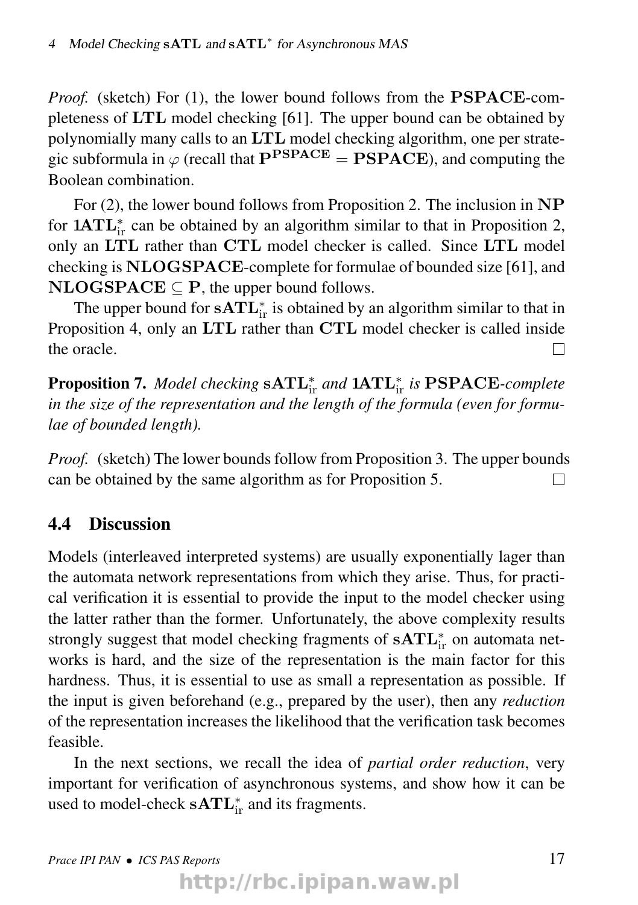*Proof.* (sketch) For (1), the lower bound follows from the **PSPACE**-completeness of LTL model checking [61]. The upper bound can be obtained by polynomially many calls to an LTL model checking algorithm, one per strategic subformula in  $\varphi$  (recall that  $P^{PSPACE} = PSPACE$ ), and computing the Boolean combination.

For (2), the lower bound follows from Proposition 2. The inclusion in NP for  $1ATL_{ir}^{*}$  can be obtained by an algorithm similar to that in Proposition 2, only an LTL rather than CTL model checker is called. Since LTL model checking is NLOGSPACE-complete for formulae of bounded size [61], and  $NLOGSPACE \subseteq P$ , the upper bound follows.

The upper bound for  $\mathbf{sATL}_{ir}^*$  is obtained by an algorithm similar to that in Proposition 4, only an LTL rather than CTL model checker is called inside the oracle.  $\Box$ 

**Proposition 7.** Model checking  $\textbf{sATL}_{ir}^*$  and  $\textbf{1ATL}_{ir}^*$  is  $\textbf{PSPACE}$ -complete *in the size of the representation and the length of the formula (even for formulae of bounded length).*

*Proof.* (sketch) The lower bounds follow from Proposition 3. The upper bounds can be obtained by the same algorithm as for Proposition 5.  $\Box$ 

#### 4.4 Discussion

Models (interleaved interpreted systems) are usually exponentially lager than the automata network representations from which they arise. Thus, for practical verification it is essential to provide the input to the model checker using the latter rather than the former. Unfortunately, the above complexity results strongly suggest that model checking fragments of  $\textbf{sATL}_{ir}^*$  on automata networks is hard, and the size of the representation is the main factor for this hardness. Thus, it is essential to use as small a representation as possible. If the input is given beforehand (e.g., prepared by the user), then any *reduction* of the representation increases the likelihood that the verification task becomes feasible.

In the next sections, we recall the idea of *partial order reduction*, very important for verification of asynchronous systems, and show how it can be used to model-check  $\mathbf{sATL}_{ir}^*$  and its fragments.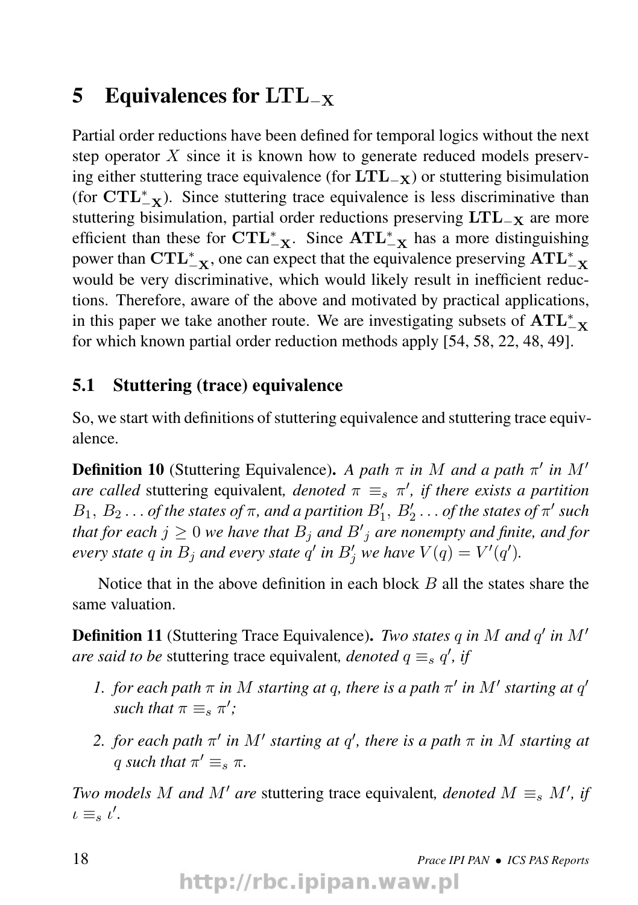## 5 Equivalences for  $LTL_{-X}$

Partial order reductions have been defined for temporal logics without the next step operator  $X$  since it is known how to generate reduced models preserving either stuttering trace equivalence (for  $\text{LTL}_X$ ) or stuttering bisimulation (for  $\text{CTL}_{-\textbf{X}}^{*}$ ). Since stuttering trace equivalence is less discriminative than stuttering bisimulation, partial order reductions preserving  $LTL_{-X}$  are more efficient than these for  $\text{CTL}_{-X}^*$ . Since  $\text{ATL}_{-X}^*$  has a more distinguishing power than  $\text{CTL}_{-X}^*$ , one can expect that the equivalence preserving  $\text{ATL}_{-X}^*$ would be very discriminative, which would likely result in inefficient reductions. Therefore, aware of the above and motivated by practical applications, in this paper we take another route. We are investigating subsets of  $\text{ATL}_{-\textbf{X}}^{*}$ for which known partial order reduction methods apply [54, 58, 22, 48, 49].

#### 5.1 Stuttering (trace) equivalence

So, we start with definitions of stuttering equivalence and stuttering trace equivalence.

**Definition 10** (Stuttering Equivalence). A path  $\pi$  in M and a path  $\pi'$  in M' *are called* stuttering equivalent, *denoted*  $\pi \equiv_s \pi'$ , *if there exists a partition*  $B_1, B_2 \ldots$  *of the states of*  $\pi$ *, and a partition*  $B'_1, B'_2 \ldots$  *of the states of*  $\pi'$  *such that for each*  $j \geq 0$  *we have that*  $B_j$  *and*  $B'_j$  *are nonempty and finite, and for every state*  $q$  *in*  $B_j$  *and every state*  $q'$  *in*  $B'_j$  *we have*  $V(q) = V'(q')$ *.* 

Notice that in the above definition in each block  $B$  all the states share the same valuation.

Definition 11 (Stuttering Trace Equivalence). *Two states q in M and q' in M' are said to be stuttering trace equivalent, denoted*  $q \equiv_s q'$ , *if* 

- *1. for each path*  $\pi$  *in*  $M$  *starting at q, there is a path*  $\pi'$  *in*  $M'$  *starting at*  $q'$ *such that*  $\pi \equiv_s \pi'$ ;
- *2. for each path*  $\pi'$  *in*  $M'$  *starting at*  $q'$ *, there is a path*  $\pi$  *in*  $M$  *starting at* q such that  $\pi' \equiv_s \pi$ .

*Two models* M and M' are stuttering trace equivalent, denoted  $M \equiv_s M'$ , if  $\iota \equiv_s \iota'.$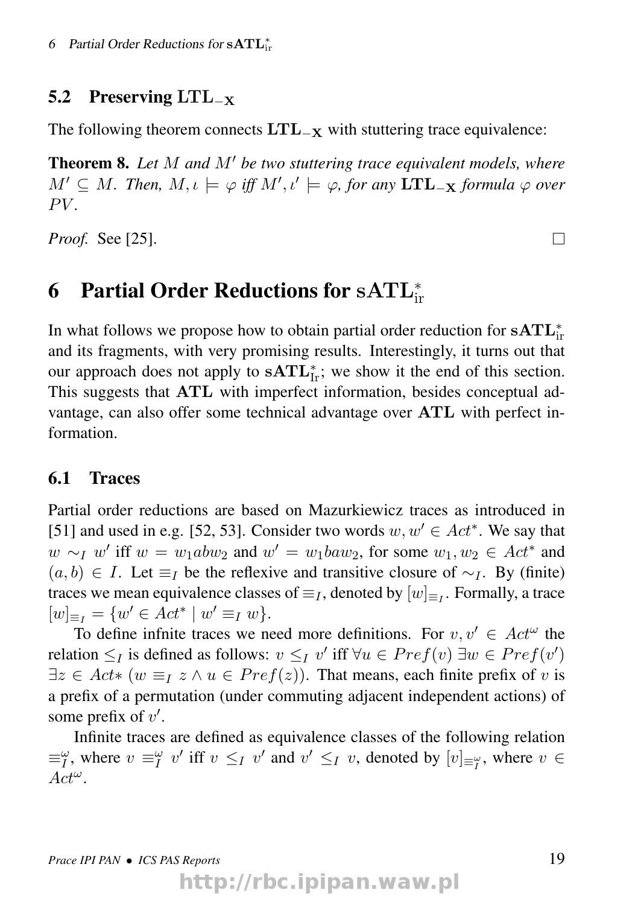#### 5.2 Preserving LTL<sub>-x</sub>

The following theorem connects  $LTL_{-x}$  with stuttering trace equivalence:

Theorem 8. Let M and M' be two stuttering trace equivalent models, where  $M' \subseteq M$ . Then,  $M, \iota \models \varphi$  iff  $M', \iota' \models \varphi$ , for any  $\mathbf{LTL}_{-\mathbf{X}}$  formula  $\varphi$  over  $PV$ 

*Proof.* See [25].

## 6 Partial Order Reductions for  $\mathrm{sATL}^\ast_\mathrm{ir}$

In what follows we propose how to obtain partial order reduction for  $\textbf{sATL}_{ir}^*$ and its fragments, with very promising results. Interestingly, it turns out that our approach does not apply to  $\textbf{sATL}_{\text{Ir}}^*$ ; we show it the end of this section. This suggests that ATL with imperfect information, besides conceptual advantage, can also offer some technical advantage over ATL with perfect information.

#### 6.1 Traces

Partial order reductions are based on Mazurkiewicz traces as introduced in [51] and used in e.g. [52, 53]. Consider two words  $w, w' \in Act^*$ . We say that  $w \sim_I w'$  iff  $w = w_1abw_2$  and  $w' = w_1baw_2$ , for some  $w_1, w_2 \in Act^*$  and  $(a, b) \in I$ . Let  $\equiv_I$  be the reflexive and transitive closure of  $\sim_I$ . By (finite) traces we mean equivalence classes of  $\equiv_I$ , denoted by  $[w]_{\equiv_I}$ . Formally, a trace  $[w]_{\equiv_I} = \{w' \in Act^* \mid w' \equiv_I w\}.$ 

To define infinite traces we need more definitions. For  $v, v' \in Act^{\omega}$  the relation  $\leq_I$  is defined as follows:  $v \leq_I v'$  iff  $\forall u \in Pref(v) \exists w \in Pref(v')$  $\exists z \in Act * (w \equiv_I z \land u \in Pref(z)).$  That means, each finite prefix of v is a prefix of a permutation (under commuting adjacent independent actions) of some prefix of  $v'$ .

Infinite traces are defined as equivalence classes of the following relation  $\equiv_I^{\omega}$ , where  $v \equiv_I^{\omega} v'$  iff  $v \leq_I v'$  and  $v' \leq_I v$ , denoted by  $[v]_{\equiv_I^{\omega}}$ , where  $v \in$  $Act^{\omega}$ .

П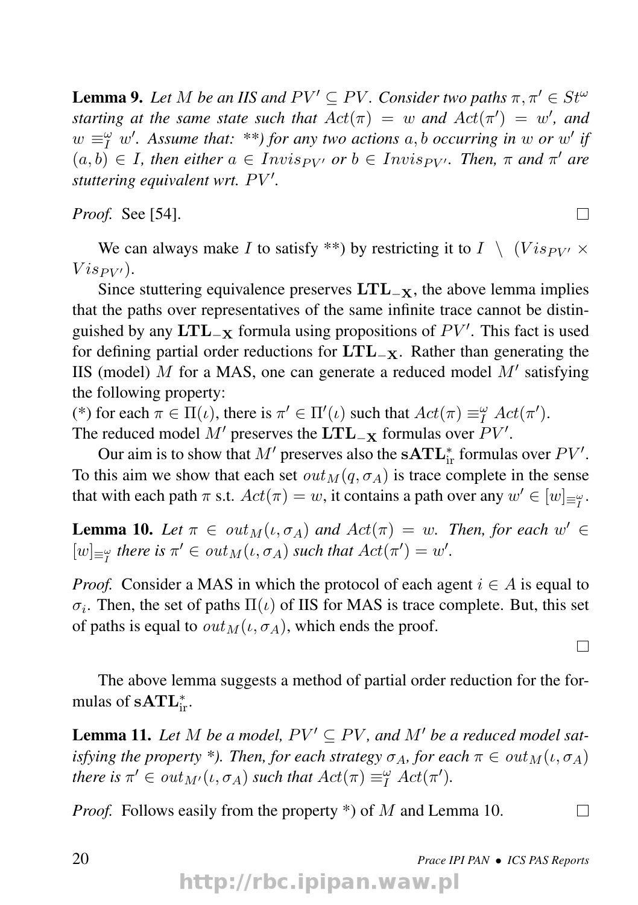**Lemma 9.** Let M be an IIS and  $PV' \subseteq PV$ . Consider two paths  $\pi, \pi' \in St^{\omega}$ *starting at the same state such that*  $Act(\pi) = w$  *and*  $Act(\pi') = w'$ , *and*  $w \equiv_I^{\omega} w'$ . Assume that: \*\*) for any two actions a, b occurring in w or w' if  $(a, b) \in I$ , then either  $a \in Invis_{PV'}$  or  $b \in Invis_{PV'}$ . Then,  $\pi$  and  $\pi'$  are *stuttering equivalent wrt. PV'.* 

*Proof.* See [54].

We can always make I to satisfy \*\*) by restricting it to  $I \setminus (Vis_{PV'} \times$  $Vis_{PV'}).$ 

Since stuttering equivalence preserves  $LTL_{-X}$ , the above lemma implies that the paths over representatives of the same infinite trace cannot be distinguished by any  $\text{LTL}_{-\textbf{X}}$  formula using propositions of  $PV'$ . This fact is used for defining partial order reductions for  $LTL_{-X}$ . Rather than generating the IIS (model)  $M$  for a MAS, one can generate a reduced model  $M'$  satisfying the following property:

(\*) for each  $\pi \in \Pi(\iota)$ , there is  $\pi' \in \Pi'(\iota)$  such that  $Act(\pi) \equiv^{\omega}_I Act(\pi').$ The reduced model  $M'$  preserves the  $\mathbf{LTL}_{-\mathbf{X}}$  formulas over  $PV'$ .

Our aim is to show that  $M'$  preserves also the  $\mathbf{sATL}_{ir}^*$  formulas over  $PV'.$ To this aim we show that each set  $out_M(q, \sigma_A)$  is trace complete in the sense that with each path  $\pi$  s.t.  $Act(\pi) = w$ , it contains a path over any  $w' \in [w]_{\equiv \frac{\omega}{l}}$ .

**Lemma 10.** Let  $\pi \in out_M(\iota, \sigma_A)$  and  $Act(\pi) = w$ . Then, for each  $w' \in$  $[w]_{\equiv^{\omega}_I}$  there is  $\pi' \in out_M(\iota, \sigma_A)$  such that  $Act(\pi') = w'.$ 

*Proof.* Consider a MAS in which the protocol of each agent  $i \in A$  is equal to  $\sigma_i$ . Then, the set of paths  $\Pi(\iota)$  of IIS for MAS is trace complete. But, this set of paths is equal to  $out_M(\iota, \sigma_A)$ , which ends the proof.

The above lemma suggests a method of partial order reduction for the formulas of  $\textbf{sATL}_{ir}^*$ .

**Lemma 11.** Let M be a model,  $PV' \subseteq PV$ , and M' be a reduced model sat*isfying the property \*). Then, for each strategy*  $\sigma_A$ *, for each*  $\pi \in out_M(\iota, \sigma_A)$ *there is*  $\pi' \in out_{M'}(\iota, \sigma_A)$  *such that*  $Act(\pi) \equiv^{\omega}_I Act(\pi').$ 

*Proof.* Follows easily from the property \*) of M and Lemma 10.

П

П

П

20 *Prace IPI PAN* • *ICS PAS Reports*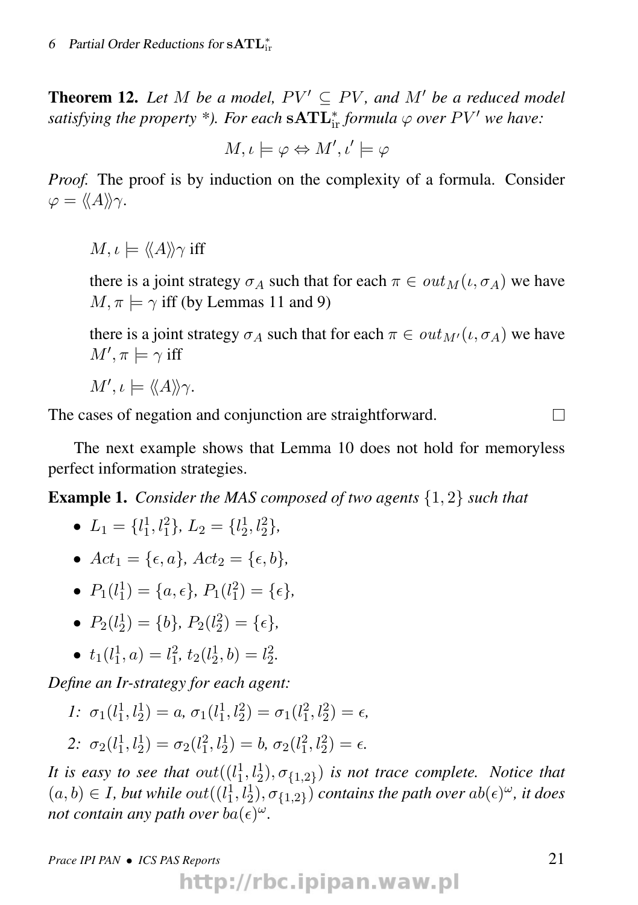**Theorem 12.** Let M be a model,  $PV' \subseteq PV$ , and M' be a reduced model satisfying the property \*). For each  $\mathbf{sATL}_{ir}^*$  formula  $\varphi$  over  $PV'$  we have:

$$
M, \iota \models \varphi \Leftrightarrow M', \iota' \models \varphi
$$

*Proof.* The proof is by induction on the complexity of a formula. Consider  $\varphi = \langle \langle A \rangle \rangle \gamma.$ 

 $M, \iota \models \langle \langle A \rangle \rangle \gamma$  iff

there is a joint strategy  $\sigma_A$  such that for each  $\pi \in out_M(\iota, \sigma_A)$  we have  $M, \pi \models \gamma$  iff (by Lemmas 11 and 9)

there is a joint strategy  $\sigma_A$  such that for each  $\pi \in out_{M'}(\iota, \sigma_A)$  we have  $M', \pi \models \gamma$  iff

$$
M',\iota \models \langle\!\langle A \rangle\!\rangle \gamma.
$$

The cases of negation and conjunction are straightforward.

 $\Box$ 

The next example shows that Lemma 10 does not hold for memoryless perfect information strategies.

Example 1. *Consider the MAS composed of two agents* {1, 2} *such that*

- $L_1 = \{l_1^1, l_1^2\}, L_2 = \{l_2^1, l_2^2\},\$
- $Act_1 = \{\epsilon, a\}, Act_2 = \{\epsilon, b\},$
- $P_1(l_1^1) = \{a, \epsilon\}, P_1(l_1^2) = \{\epsilon\},\$
- $P_2(l_2^1) = \{b\}, P_2(l_2^2) = \{\epsilon\},\$
- $t_1(l_1^1, a) = l_1^2$ ,  $t_2(l_2^1, b) = l_2^2$ .

*Define an Ir-strategy for each agent:*

*1*:  $\sigma_1(l_1^1, l_2^1) = a, \sigma_1(l_1^1, l_2^2) = \sigma_1(l_1^2, l_2^2) = \epsilon,$ 2:  $\sigma_2(l_1^1, l_2^1) = \sigma_2(l_1^2, l_2^1) = b, \sigma_2(l_1^2, l_2^2) = \epsilon.$ 

*It is easy to see that*  $out((l_1^1, l_2^1), \sigma_{\{1,2\}})$  *is not trace complete. Notice that*  $(a, b) \in I$ , but while  $out((l_1^1, l_2^1), \sigma_{1,2}^1)$  *contains the path over*  $ab(\epsilon)^\omega$ *, it does not contain any path over ba* $(\epsilon)^\omega$ .

http://rbc.ipipan.waw.pl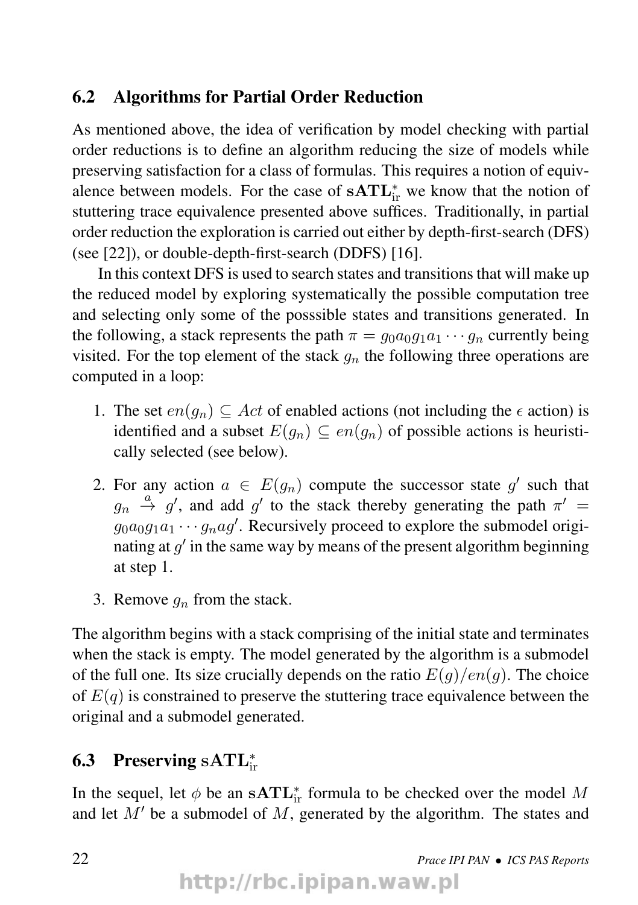#### 6.2 Algorithms for Partial Order Reduction

As mentioned above, the idea of verification by model checking with partial order reductions is to define an algorithm reducing the size of models while preserving satisfaction for a class of formulas. This requires a notion of equivalence between models. For the case of  $\textbf{sATL}_{ir}^*$  we know that the notion of stuttering trace equivalence presented above suffices. Traditionally, in partial order reduction the exploration is carried out either by depth-first-search (DFS) (see [22]), or double-depth-first-search (DDFS) [16].

In this context DFS is used to search states and transitions that will make up the reduced model by exploring systematically the possible computation tree and selecting only some of the posssible states and transitions generated. In the following, a stack represents the path  $\pi = g_0 a_0 g_1 a_1 \cdots g_n$  currently being visited. For the top element of the stack  $q_n$  the following three operations are computed in a loop:

- 1. The set  $en(q_n) \subseteq Act$  of enabled actions (not including the  $\epsilon$  action) is identified and a subset  $E(g_n) \subseteq en(g_n)$  of possible actions is heuristically selected (see below).
- 2. For any action  $a \in E(g_n)$  compute the successor state g' such that  $g_n \stackrel{a}{\rightarrow} g'$ , and add g' to the stack thereby generating the path  $\pi'$  =  $g_0 a_0 g_1 a_1 \cdots g_n a g'$ . Recursively proceed to explore the submodel originating at  $g'$  in the same way by means of the present algorithm beginning at step 1.
- 3. Remove  $g_n$  from the stack.

The algorithm begins with a stack comprising of the initial state and terminates when the stack is empty. The model generated by the algorithm is a submodel of the full one. Its size crucially depends on the ratio  $E(g)/en(g)$ . The choice of  $E(q)$  is constrained to preserve the stuttering trace equivalence between the original and a submodel generated.

## 6.3 Preserving  $\mathrm{sATL}^*_{\mathrm{ir}}$

In the sequel, let  $\phi$  be an  $\mathbf{sATL}_{ir}^*$  formula to be checked over the model M and let  $M'$  be a submodel of M, generated by the algorithm. The states and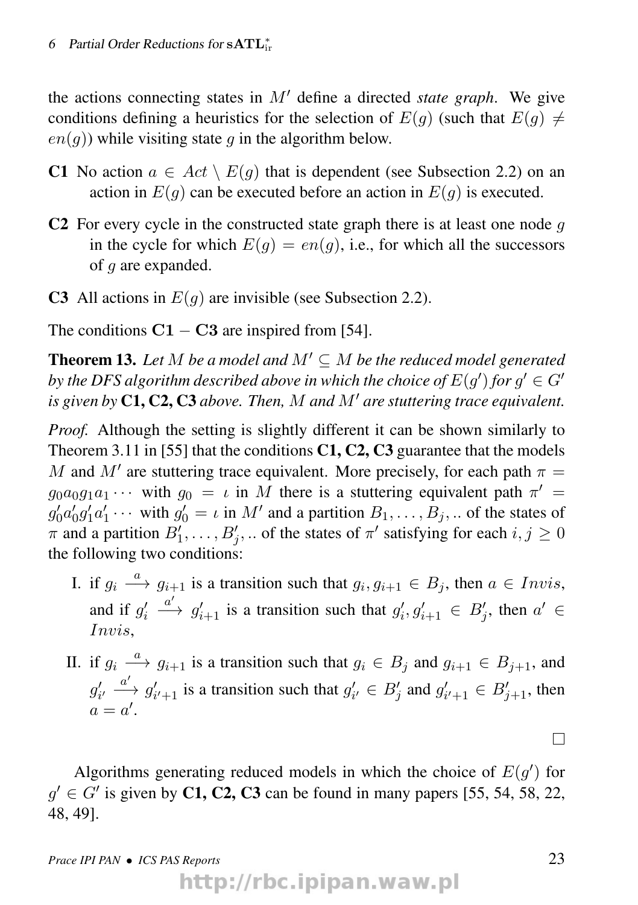the actions connecting states in  $M'$  define a directed *state graph*. We give conditions defining a heuristics for the selection of  $E(q)$  (such that  $E(q) \neq$  $en(a)$ ) while visiting state q in the algorithm below.

- C1 No action  $a \in Act \setminus E(g)$  that is dependent (see Subsection 2.2) on an action in  $E(q)$  can be executed before an action in  $E(q)$  is executed.
- C2 For every cycle in the constructed state graph there is at least one node  $q$ in the cycle for which  $E(g) = en(g)$ , i.e., for which all the successors of g are expanded.
- C3 All actions in  $E(q)$  are invisible (see Subsection 2.2).

The conditions  $C1 - C3$  are inspired from [54].

**Theorem 13.** Let M be a model and  $M' \subseteq M$  be the reduced model generated by the DFS algorithm described above in which the choice of  $E(g')$  for  $g' \in G'$ *is given by*  $C1$ ,  $C2$ ,  $C3$  *above. Then, M and M' are stuttering trace equivalent.* 

*Proof.* Although the setting is slightly different it can be shown similarly to Theorem 3.11 in [55] that the conditions  $C1$ ,  $C2$ ,  $C3$  guarantee that the models M and M' are stuttering trace equivalent. More precisely, for each path  $\pi =$  $g_0 a_0 g_1 a_1 \cdots$  with  $g_0 = \iota$  in M there is a stuttering equivalent path  $\pi' =$  $g'_0 a'_0 g'_1 a'_1 \cdots$  with  $g'_0 = \iota$  in M' and a partition  $B_1, \ldots, B_j, \ldots$  of the states of  $\pi$  and a partition  $B'_1, \ldots, B'_j, \ldots$  of the states of  $\pi'$  satisfying for each  $i, j \ge 0$ the following two conditions:

- I. if  $g_i \stackrel{a}{\longrightarrow} g_{i+1}$  is a transition such that  $g_i, g_{i+1} \in B_j$ , then  $a \in Invis$ , and if  $g_i'$  $a' \rightarrow g'_{i+1}$  is a transition such that  $g'_{i}, g'_{i+1} \in B'_{j}$ , then  $a' \in$ Invis,
- II. if  $g_i \stackrel{a}{\longrightarrow} g_{i+1}$  is a transition such that  $g_i \in B_j$  and  $g_{i+1} \in B_{j+1}$ , and  $g'_{i'} \stackrel{a'}{\longrightarrow} g'_{i'+1}$  is a transition such that  $g'_{i'} \in B'_j$  and  $g'_{i'+1} \in B'_{j+1}$ , then  $a = a'$ .

Algorithms generating reduced models in which the choice of  $E(g')$  for  $g' \in G'$  is given by C1, C2, C3 can be found in many papers [55, 54, 58, 22, 48, 49].

http://rbc.ipipan.waw.pl

 $\Box$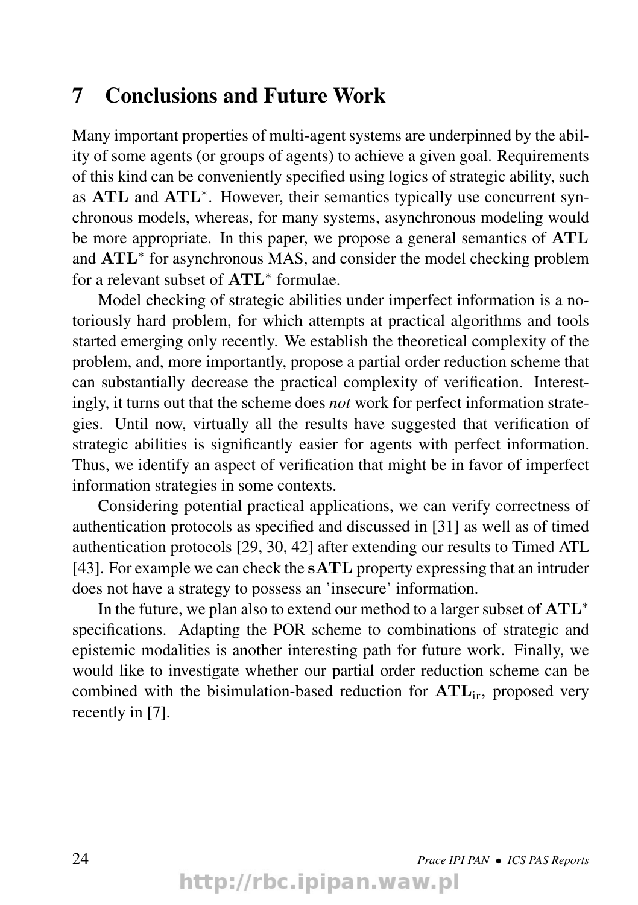#### 7 Conclusions and Future Work

Many important properties of multi-agent systems are underpinned by the ability of some agents (or groups of agents) to achieve a given goal. Requirements of this kind can be conveniently specified using logics of strategic ability, such as ATL and ATL<sup>\*</sup>. However, their semantics typically use concurrent synchronous models, whereas, for many systems, asynchronous modeling would be more appropriate. In this paper, we propose a general semantics of ATL and ATL<sup>\*</sup> for asynchronous MAS, and consider the model checking problem for a relevant subset of  $\text{ATL}^*$  formulae.

Model checking of strategic abilities under imperfect information is a notoriously hard problem, for which attempts at practical algorithms and tools started emerging only recently. We establish the theoretical complexity of the problem, and, more importantly, propose a partial order reduction scheme that can substantially decrease the practical complexity of verification. Interestingly, it turns out that the scheme does *not* work for perfect information strategies. Until now, virtually all the results have suggested that verification of strategic abilities is significantly easier for agents with perfect information. Thus, we identify an aspect of verification that might be in favor of imperfect information strategies in some contexts.

Considering potential practical applications, we can verify correctness of authentication protocols as specified and discussed in [31] as well as of timed authentication protocols [29, 30, 42] after extending our results to Timed ATL [43]. For example we can check the sATL property expressing that an intruder does not have a strategy to possess an 'insecure' information.

In the future, we plan also to extend our method to a larger subset of ATL<sup>∗</sup> specifications. Adapting the POR scheme to combinations of strategic and epistemic modalities is another interesting path for future work. Finally, we would like to investigate whether our partial order reduction scheme can be combined with the bisimulation-based reduction for  $\text{ATL}_{ir}$ , proposed very recently in [7].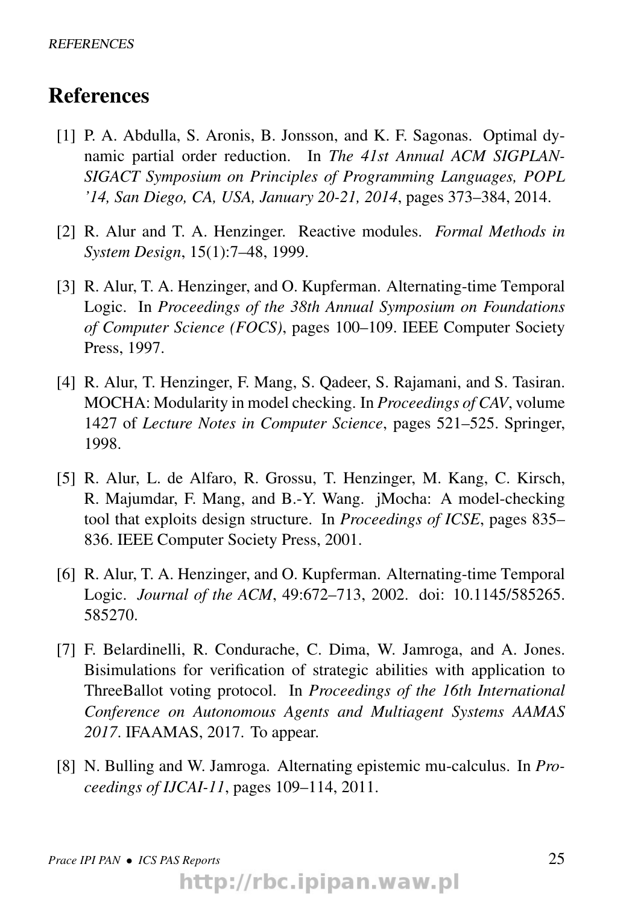#### References

- [1] P. A. Abdulla, S. Aronis, B. Jonsson, and K. F. Sagonas. Optimal dynamic partial order reduction. In *The 41st Annual ACM SIGPLAN-SIGACT Symposium on Principles of Programming Languages, POPL '14, San Diego, CA, USA, January 20-21, 2014*, pages 373–384, 2014.
- [2] R. Alur and T. A. Henzinger. Reactive modules. *Formal Methods in System Design*, 15(1):7–48, 1999.
- [3] R. Alur, T. A. Henzinger, and O. Kupferman. Alternating-time Temporal Logic. In *Proceedings of the 38th Annual Symposium on Foundations of Computer Science (FOCS)*, pages 100–109. IEEE Computer Society Press, 1997.
- [4] R. Alur, T. Henzinger, F. Mang, S. Qadeer, S. Rajamani, and S. Tasiran. MOCHA: Modularity in model checking. In *Proceedings of CAV*, volume 1427 of *Lecture Notes in Computer Science*, pages 521–525. Springer, 1998.
- [5] R. Alur, L. de Alfaro, R. Grossu, T. Henzinger, M. Kang, C. Kirsch, R. Majumdar, F. Mang, and B.-Y. Wang. jMocha: A model-checking tool that exploits design structure. In *Proceedings of ICSE*, pages 835– 836. IEEE Computer Society Press, 2001.
- [6] R. Alur, T. A. Henzinger, and O. Kupferman. Alternating-time Temporal Logic. *Journal of the ACM*, 49:672–713, 2002. doi: 10.1145/585265. 585270.
- [7] F. Belardinelli, R. Condurache, C. Dima, W. Jamroga, and A. Jones. Bisimulations for verification of strategic abilities with application to ThreeBallot voting protocol. In *Proceedings of the 16th International Conference on Autonomous Agents and Multiagent Systems AAMAS 2017*. IFAAMAS, 2017. To appear.
- [8] N. Bulling and W. Jamroga. Alternating epistemic mu-calculus. In *Proceedings of IJCAI-11*, pages 109–114, 2011.

http://rbc.ipipan.waw.pl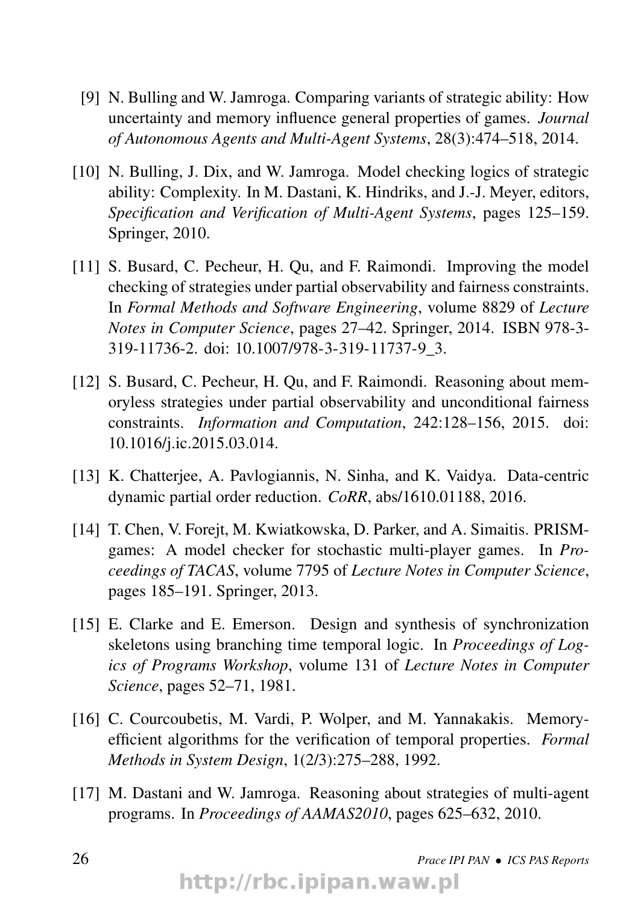- [9] N. Bulling and W. Jamroga. Comparing variants of strategic ability: How uncertainty and memory influence general properties of games. *Journal of Autonomous Agents and Multi-Agent Systems*, 28(3):474–518, 2014.
- [10] N. Bulling, J. Dix, and W. Jamroga. Model checking logics of strategic ability: Complexity. In M. Dastani, K. Hindriks, and J.-J. Meyer, editors, *Specification and Verification of Multi-Agent Systems*, pages 125–159. Springer, 2010.
- [11] S. Busard, C. Pecheur, H. Ou, and F. Raimondi. Improving the model checking of strategies under partial observability and fairness constraints. In *Formal Methods and Software Engineering*, volume 8829 of *Lecture Notes in Computer Science*, pages 27–42. Springer, 2014. ISBN 978-3- 319-11736-2. doi: 10.1007/978-3-319-11737-9\_3.
- [12] S. Busard, C. Pecheur, H. Qu, and F. Raimondi. Reasoning about memoryless strategies under partial observability and unconditional fairness constraints. *Information and Computation*, 242:128–156, 2015. doi: 10.1016/j.ic.2015.03.014.
- [13] K. Chatteriee, A. Pavlogiannis, N. Sinha, and K. Vaidya. Data-centric dynamic partial order reduction. *CoRR*, abs/1610.01188, 2016.
- [14] T. Chen, V. Foreit, M. Kwiatkowska, D. Parker, and A. Simaitis. PRISMgames: A model checker for stochastic multi-player games. In *Proceedings of TACAS*, volume 7795 of *Lecture Notes in Computer Science*, pages 185–191. Springer, 2013.
- [15] E. Clarke and E. Emerson. Design and synthesis of synchronization skeletons using branching time temporal logic. In *Proceedings of Logics of Programs Workshop*, volume 131 of *Lecture Notes in Computer Science*, pages 52–71, 1981.
- [16] C. Courcoubetis, M. Vardi, P. Wolper, and M. Yannakakis. Memoryefficient algorithms for the verification of temporal properties. *Formal Methods in System Design*, 1(2/3):275–288, 1992.
- [17] M. Dastani and W. Jamroga. Reasoning about strategies of multi-agent programs. In *Proceedings of AAMAS2010*, pages 625–632, 2010.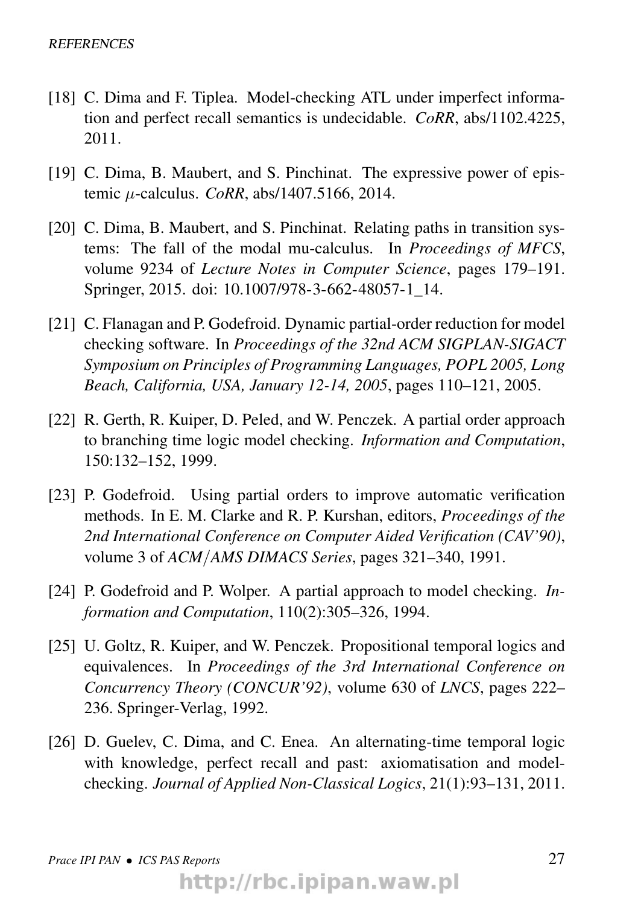- [18] C. Dima and F. Tiplea. Model-checking ATL under imperfect information and perfect recall semantics is undecidable. *CoRR*, abs/1102.4225, 2011.
- [19] C. Dima, B. Maubert, and S. Pinchinat. The expressive power of epistemic µ-calculus. *CoRR*, abs/1407.5166, 2014.
- [20] C. Dima, B. Maubert, and S. Pinchinat. Relating paths in transition systems: The fall of the modal mu-calculus. In *Proceedings of MFCS*, volume 9234 of *Lecture Notes in Computer Science*, pages 179–191. Springer, 2015. doi: 10.1007/978-3-662-48057-1\_14.
- [21] C. Flanagan and P. Godefroid. Dynamic partial-order reduction for model checking software. In *Proceedings of the 32nd ACM SIGPLAN-SIGACT Symposium on Principles of Programming Languages, POPL 2005, Long Beach, California, USA, January 12-14, 2005*, pages 110–121, 2005.
- [22] R. Gerth, R. Kuiper, D. Peled, and W. Penczek. A partial order approach to branching time logic model checking. *Information and Computation*, 150:132–152, 1999.
- [23] P. Godefroid. Using partial orders to improve automatic verification methods. In E. M. Clarke and R. P. Kurshan, editors, *Proceedings of the 2nd International Conference on Computer Aided Verification (CAV'90)*, volume 3 of *ACM*/*AMS DIMACS Series*, pages 321–340, 1991.
- [24] P. Godefroid and P. Wolper. A partial approach to model checking. *Information and Computation*, 110(2):305–326, 1994.
- [25] U. Goltz, R. Kuiper, and W. Penczek. Propositional temporal logics and equivalences. In *Proceedings of the 3rd International Conference on Concurrency Theory (CONCUR'92)*, volume 630 of *LNCS*, pages 222– 236. Springer-Verlag, 1992.
- [26] D. Guelev, C. Dima, and C. Enea. An alternating-time temporal logic with knowledge, perfect recall and past: axiomatisation and modelchecking. *Journal of Applied Non-Classical Logics*, 21(1):93–131, 2011.

http://rbc.ipipan.waw.pl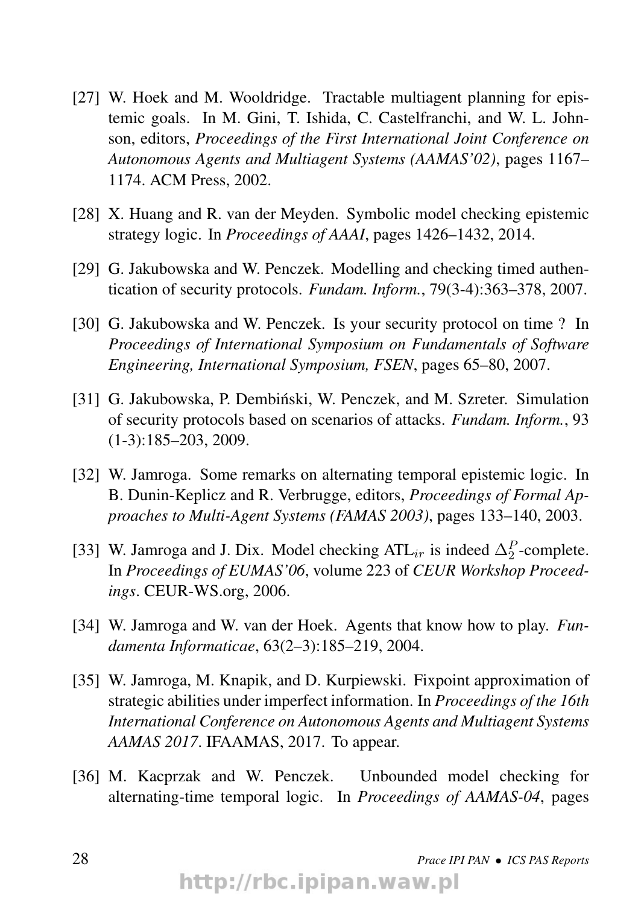- [27] W. Hoek and M. Wooldridge. Tractable multiagent planning for epistemic goals. In M. Gini, T. Ishida, C. Castelfranchi, and W. L. Johnson, editors, *Proceedings of the First International Joint Conference on Autonomous Agents and Multiagent Systems (AAMAS'02)*, pages 1167– 1174. ACM Press, 2002.
- [28] X. Huang and R. van der Meyden. Symbolic model checking epistemic strategy logic. In *Proceedings of AAAI*, pages 1426–1432, 2014.
- [29] G. Jakubowska and W. Penczek. Modelling and checking timed authentication of security protocols. *Fundam. Inform.*, 79(3-4):363–378, 2007.
- [30] G. Jakubowska and W. Penczek. Is your security protocol on time ? In *Proceedings of International Symposium on Fundamentals of Software Engineering, International Symposium, FSEN*, pages 65–80, 2007.
- [31] G. Jakubowska, P. Dembiński, W. Penczek, and M. Szreter. Simulation of security protocols based on scenarios of attacks. *Fundam. Inform.*, 93 (1-3):185–203, 2009.
- [32] W. Jamroga. Some remarks on alternating temporal epistemic logic. In B. Dunin-Keplicz and R. Verbrugge, editors, *Proceedings of Formal Approaches to Multi-Agent Systems (FAMAS 2003)*, pages 133–140, 2003.
- [33] W. Jamroga and J. Dix. Model checking ATL<sub>ir</sub> is indeed  $\Delta_2^P$ -complete. In *Proceedings of EUMAS'06*, volume 223 of *CEUR Workshop Proceedings*. CEUR-WS.org, 2006.
- [34] W. Jamroga and W. van der Hoek. Agents that know how to play. *Fundamenta Informaticae*, 63(2–3):185–219, 2004.
- [35] W. Jamroga, M. Knapik, and D. Kurpiewski. Fixpoint approximation of strategic abilities under imperfect information. In *Proceedings of the 16th International Conference on Autonomous Agents and Multiagent Systems AAMAS 2017*. IFAAMAS, 2017. To appear.
- [36] M. Kacprzak and W. Penczek. Unbounded model checking for alternating-time temporal logic. In *Proceedings of AAMAS-04*, pages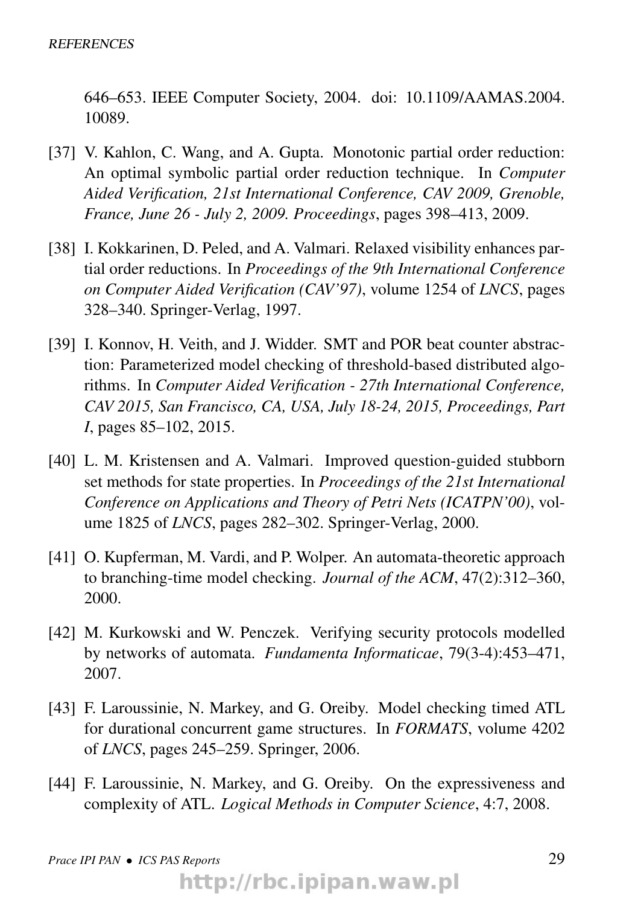646–653. IEEE Computer Society, 2004. doi: 10.1109/AAMAS.2004. 10089.

- [37] V. Kahlon, C. Wang, and A. Gupta. Monotonic partial order reduction: An optimal symbolic partial order reduction technique. In *Computer Aided Verification, 21st International Conference, CAV 2009, Grenoble, France, June 26 - July 2, 2009. Proceedings*, pages 398–413, 2009.
- [38] I. Kokkarinen, D. Peled, and A. Valmari. Relaxed visibility enhances partial order reductions. In *Proceedings of the 9th International Conference on Computer Aided Verification (CAV'97)*, volume 1254 of *LNCS*, pages 328–340. Springer-Verlag, 1997.
- [39] I. Konnov, H. Veith, and J. Widder. SMT and POR beat counter abstraction: Parameterized model checking of threshold-based distributed algorithms. In *Computer Aided Verification - 27th International Conference, CAV 2015, San Francisco, CA, USA, July 18-24, 2015, Proceedings, Part I*, pages 85–102, 2015.
- [40] L. M. Kristensen and A. Valmari. Improved question-guided stubborn set methods for state properties. In *Proceedings of the 21st International Conference on Applications and Theory of Petri Nets (ICATPN'00)*, volume 1825 of *LNCS*, pages 282–302. Springer-Verlag, 2000.
- [41] O. Kupferman, M. Vardi, and P. Wolper. An automata-theoretic approach to branching-time model checking. *Journal of the ACM*, 47(2):312–360, 2000.
- [42] M. Kurkowski and W. Penczek. Verifying security protocols modelled by networks of automata. *Fundamenta Informaticae*, 79(3-4):453–471, 2007.
- [43] F. Laroussinie, N. Markey, and G. Oreiby. Model checking timed ATL for durational concurrent game structures. In *FORMATS*, volume 4202 of *LNCS*, pages 245–259. Springer, 2006.
- [44] F. Laroussinie, N. Markey, and G. Oreiby. On the expressiveness and complexity of ATL. *Logical Methods in Computer Science*, 4:7, 2008.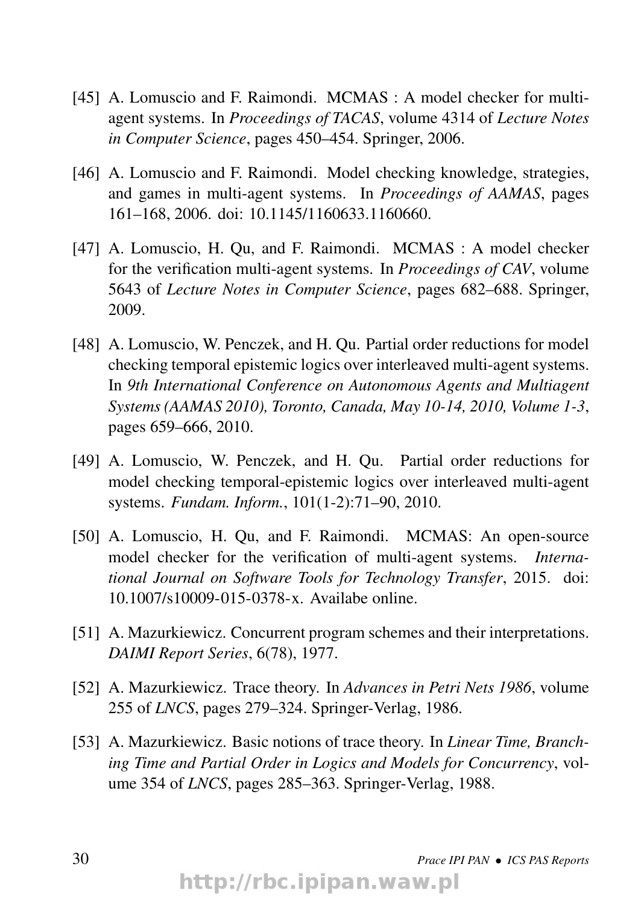- [45] A. Lomuscio and F. Raimondi. MCMAS : A model checker for multiagent systems. In *Proceedings of TACAS*, volume 4314 of *Lecture Notes in Computer Science*, pages 450–454. Springer, 2006.
- [46] A. Lomuscio and F. Raimondi. Model checking knowledge, strategies, and games in multi-agent systems. In *Proceedings of AAMAS*, pages 161–168, 2006. doi: 10.1145/1160633.1160660.
- [47] A. Lomuscio, H. Qu, and F. Raimondi. MCMAS : A model checker for the verification multi-agent systems. In *Proceedings of CAV*, volume 5643 of *Lecture Notes in Computer Science*, pages 682–688. Springer, 2009.
- [48] A. Lomuscio, W. Penczek, and H. Qu. Partial order reductions for model checking temporal epistemic logics over interleaved multi-agent systems. In *9th International Conference on Autonomous Agents and Multiagent Systems (AAMAS 2010), Toronto, Canada, May 10-14, 2010, Volume 1-3*, pages 659–666, 2010.
- [49] A. Lomuscio, W. Penczek, and H. Qu. Partial order reductions for model checking temporal-epistemic logics over interleaved multi-agent systems. *Fundam. Inform.*, 101(1-2):71–90, 2010.
- [50] A. Lomuscio, H. Qu, and F. Raimondi. MCMAS: An open-source model checker for the verification of multi-agent systems. *International Journal on Software Tools for Technology Transfer*, 2015. doi: 10.1007/s10009-015-0378-x. Availabe online.
- [51] A. Mazurkiewicz. Concurrent program schemes and their interpretations. *DAIMI Report Series*, 6(78), 1977.
- [52] A. Mazurkiewicz. Trace theory. In *Advances in Petri Nets 1986*, volume 255 of *LNCS*, pages 279–324. Springer-Verlag, 1986.
- [53] A. Mazurkiewicz. Basic notions of trace theory. In *Linear Time, Branching Time and Partial Order in Logics and Models for Concurrency*, volume 354 of *LNCS*, pages 285–363. Springer-Verlag, 1988.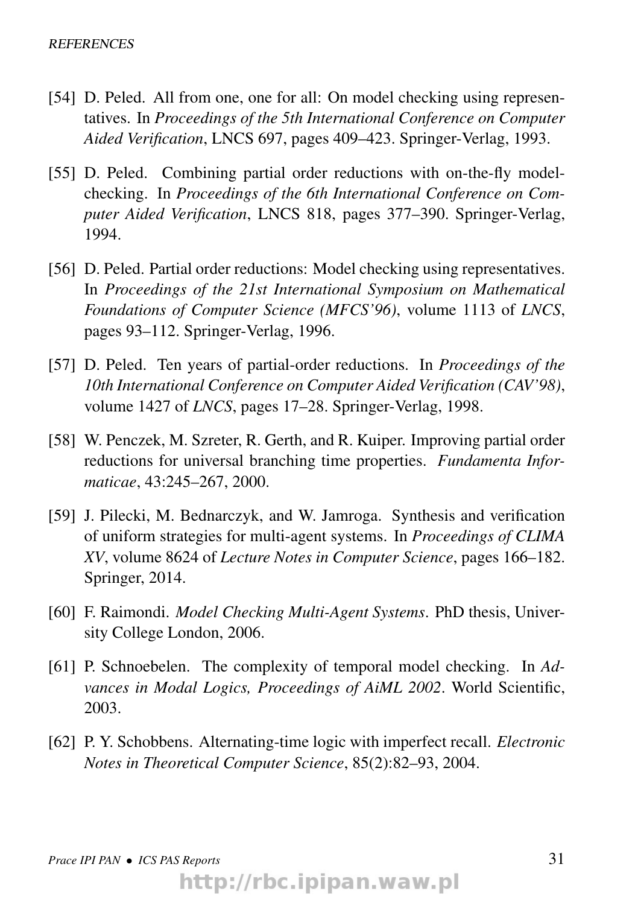- [54] D. Peled. All from one, one for all: On model checking using representatives. In *Proceedings of the 5th International Conference on Computer Aided Verification*, LNCS 697, pages 409–423. Springer-Verlag, 1993.
- [55] D. Peled. Combining partial order reductions with on-the-fly modelchecking. In *Proceedings of the 6th International Conference on Computer Aided Verification*, LNCS 818, pages 377–390. Springer-Verlag, 1994.
- [56] D. Peled. Partial order reductions: Model checking using representatives. In *Proceedings of the 21st International Symposium on Mathematical Foundations of Computer Science (MFCS'96)*, volume 1113 of *LNCS*, pages 93–112. Springer-Verlag, 1996.
- [57] D. Peled. Ten years of partial-order reductions. In *Proceedings of the 10th International Conference on Computer Aided Verification (CAV'98)*, volume 1427 of *LNCS*, pages 17–28. Springer-Verlag, 1998.
- [58] W. Penczek, M. Szreter, R. Gerth, and R. Kuiper. Improving partial order reductions for universal branching time properties. *Fundamenta Informaticae*, 43:245–267, 2000.
- [59] J. Pilecki, M. Bednarczyk, and W. Jamroga. Synthesis and verification of uniform strategies for multi-agent systems. In *Proceedings of CLIMA XV*, volume 8624 of *Lecture Notes in Computer Science*, pages 166–182. Springer, 2014.
- [60] F. Raimondi. *Model Checking Multi-Agent Systems*. PhD thesis, University College London, 2006.
- [61] P. Schnoebelen. The complexity of temporal model checking. In *Advances in Modal Logics, Proceedings of AiML 2002*. World Scientific, 2003.
- [62] P. Y. Schobbens. Alternating-time logic with imperfect recall. *Electronic Notes in Theoretical Computer Science*, 85(2):82–93, 2004.

http://rbc.ipipan.waw.pl